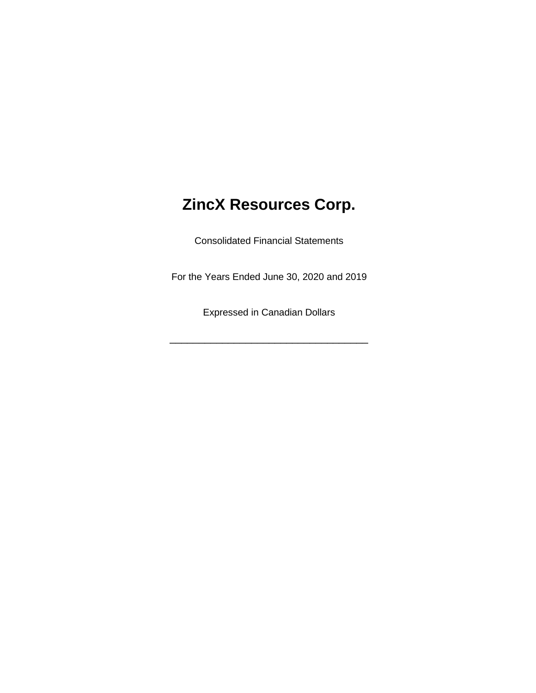# **ZincX Resources Corp.**

Consolidated Financial Statements

For the Years Ended June 30, 2020 and 2019

Expressed in Canadian Dollars

\_\_\_\_\_\_\_\_\_\_\_\_\_\_\_\_\_\_\_\_\_\_\_\_\_\_\_\_\_\_\_\_\_\_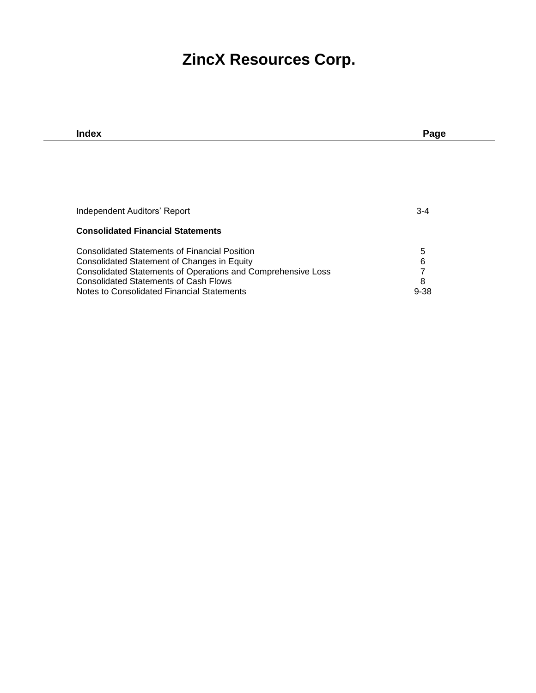## **ZincX Resources Corp.**

| Index                                                        | Page     |
|--------------------------------------------------------------|----------|
|                                                              |          |
|                                                              |          |
|                                                              |          |
|                                                              |          |
|                                                              |          |
| Independent Auditors' Report                                 | $3 - 4$  |
|                                                              |          |
| <b>Consolidated Financial Statements</b>                     |          |
| <b>Consolidated Statements of Financial Position</b>         |          |
|                                                              | 5<br>6   |
| Consolidated Statement of Changes in Equity                  |          |
| Consolidated Statements of Operations and Comprehensive Loss | 7        |
| <b>Consolidated Statements of Cash Flows</b>                 | 8        |
| Notes to Consolidated Financial Statements                   | $9 - 38$ |
|                                                              |          |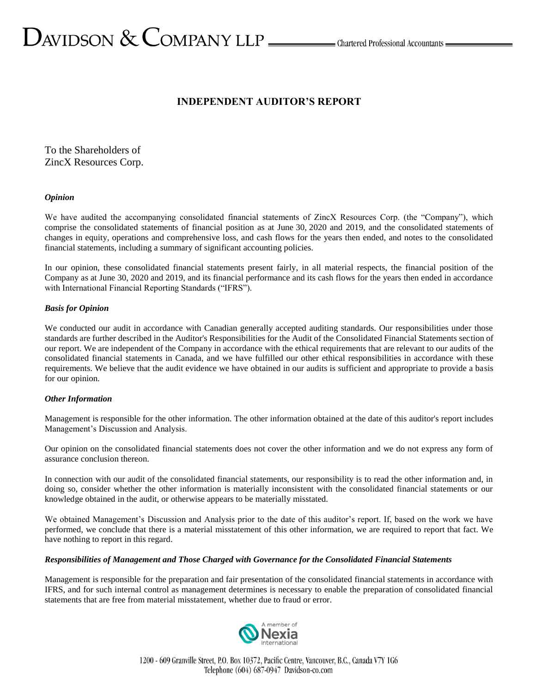# $D_{\text{AVIDSON}} \ \&\ \text{COMPANY LLP} \_\text{\tiny{Lap} \_\text{\tiny{C}}}$ Chartered Professional Accountants  $D_{\text{A}}$

#### **INDEPENDENT AUDITOR'S REPORT**

To the Shareholders of ZincX Resources Corp.

#### *Opinion*

We have audited the accompanying consolidated financial statements of ZincX Resources Corp. (the "Company"), which comprise the consolidated statements of financial position as at June 30, 2020 and 2019, and the consolidated statements of changes in equity, operations and comprehensive loss, and cash flows for the years then ended, and notes to the consolidated financial statements, including a summary of significant accounting policies.

In our opinion, these consolidated financial statements present fairly, in all material respects, the financial position of the Company as at June 30, 2020 and 2019, and its financial performance and its cash flows for the years then ended in accordance with International Financial Reporting Standards ("IFRS").

#### *Basis for Opinion*

We conducted our audit in accordance with Canadian generally accepted auditing standards. Our responsibilities under those standards are further described in the Auditor's Responsibilities for the Audit of the Consolidated Financial Statements section of our report. We are independent of the Company in accordance with the ethical requirements that are relevant to our audits of the consolidated financial statements in Canada, and we have fulfilled our other ethical responsibilities in accordance with these requirements. We believe that the audit evidence we have obtained in our audits is sufficient and appropriate to provide a basis for our opinion.

#### *Other Information*

Management is responsible for the other information. The other information obtained at the date of this auditor's report includes Management's Discussion and Analysis.

Our opinion on the consolidated financial statements does not cover the other information and we do not express any form of assurance conclusion thereon.

In connection with our audit of the consolidated financial statements, our responsibility is to read the other information and, in doing so, consider whether the other information is materially inconsistent with the consolidated financial statements or our knowledge obtained in the audit, or otherwise appears to be materially misstated.

We obtained Management's Discussion and Analysis prior to the date of this auditor's report. If, based on the work we have performed, we conclude that there is a material misstatement of this other information, we are required to report that fact. We have nothing to report in this regard.

#### *Responsibilities of Management and Those Charged with Governance for the Consolidated Financial Statements*

Management is responsible for the preparation and fair presentation of the consolidated financial statements in accordance with IFRS, and for such internal control as management determines is necessary to enable the preparation of consolidated financial statements that are free from material misstatement, whether due to fraud or error.

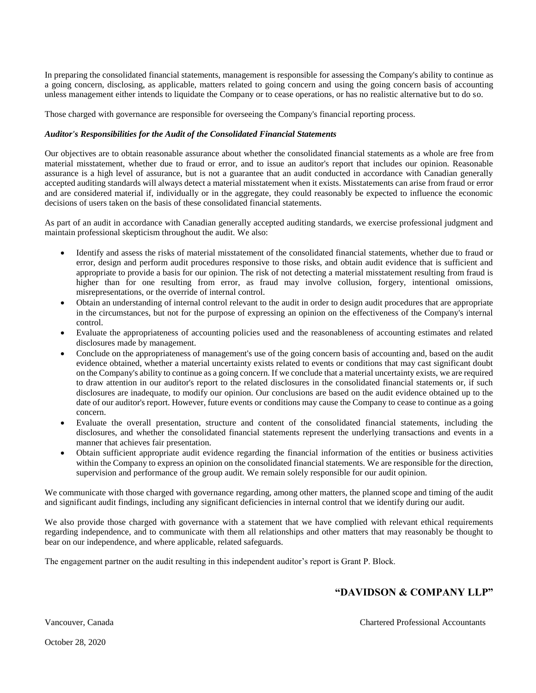In preparing the consolidated financial statements, management is responsible for assessing the Company's ability to continue as a going concern, disclosing, as applicable, matters related to going concern and using the going concern basis of accounting unless management either intends to liquidate the Company or to cease operations, or has no realistic alternative but to do so.

Those charged with governance are responsible for overseeing the Company's financial reporting process.

#### *Auditor's Responsibilities for the Audit of the Consolidated Financial Statements*

Our objectives are to obtain reasonable assurance about whether the consolidated financial statements as a whole are free from material misstatement, whether due to fraud or error, and to issue an auditor's report that includes our opinion. Reasonable assurance is a high level of assurance, but is not a guarantee that an audit conducted in accordance with Canadian generally accepted auditing standards will always detect a material misstatement when it exists. Misstatements can arise from fraud or error and are considered material if, individually or in the aggregate, they could reasonably be expected to influence the economic decisions of users taken on the basis of these consolidated financial statements.

As part of an audit in accordance with Canadian generally accepted auditing standards, we exercise professional judgment and maintain professional skepticism throughout the audit. We also:

- Identify and assess the risks of material misstatement of the consolidated financial statements, whether due to fraud or error, design and perform audit procedures responsive to those risks, and obtain audit evidence that is sufficient and appropriate to provide a basis for our opinion. The risk of not detecting a material misstatement resulting from fraud is higher than for one resulting from error, as fraud may involve collusion, forgery, intentional omissions, misrepresentations, or the override of internal control.
- Obtain an understanding of internal control relevant to the audit in order to design audit procedures that are appropriate in the circumstances, but not for the purpose of expressing an opinion on the effectiveness of the Company's internal control.
- Evaluate the appropriateness of accounting policies used and the reasonableness of accounting estimates and related disclosures made by management.
- Conclude on the appropriateness of management's use of the going concern basis of accounting and, based on the audit evidence obtained, whether a material uncertainty exists related to events or conditions that may cast significant doubt on the Company's ability to continue as a going concern. If we conclude that a material uncertainty exists, we are required to draw attention in our auditor's report to the related disclosures in the consolidated financial statements or, if such disclosures are inadequate, to modify our opinion. Our conclusions are based on the audit evidence obtained up to the date of our auditor's report. However, future events or conditions may cause the Company to cease to continue as a going concern.
- Evaluate the overall presentation, structure and content of the consolidated financial statements, including the disclosures, and whether the consolidated financial statements represent the underlying transactions and events in a manner that achieves fair presentation.
- Obtain sufficient appropriate audit evidence regarding the financial information of the entities or business activities within the Company to express an opinion on the consolidated financial statements. We are responsible for the direction, supervision and performance of the group audit. We remain solely responsible for our audit opinion.

We communicate with those charged with governance regarding, among other matters, the planned scope and timing of the audit and significant audit findings, including any significant deficiencies in internal control that we identify during our audit.

We also provide those charged with governance with a statement that we have complied with relevant ethical requirements regarding independence, and to communicate with them all relationships and other matters that may reasonably be thought to bear on our independence, and where applicable, related safeguards.

The engagement partner on the audit resulting in this independent auditor's report is Grant P. Block.

#### **"DAVIDSON & COMPANY LLP"**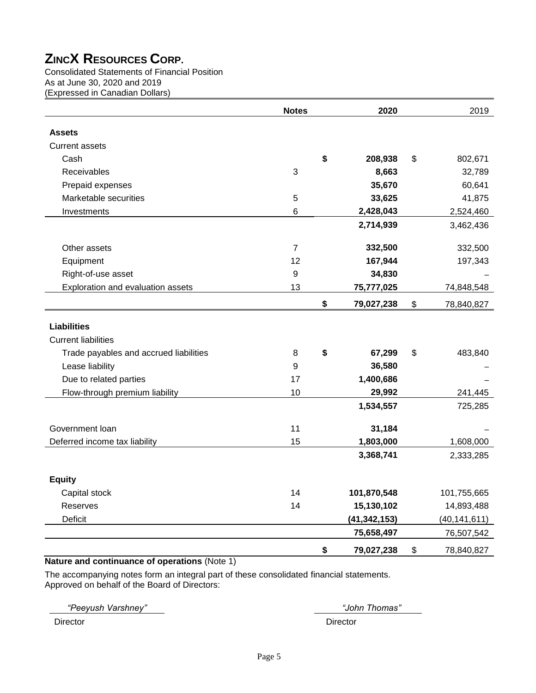Consolidated Statements of Financial Position As at June 30, 2020 and 2019 (Expressed in Canadian Dollars)

|                                        | <b>Notes</b>   | 2020             | 2019             |
|----------------------------------------|----------------|------------------|------------------|
| <b>Assets</b>                          |                |                  |                  |
| <b>Current assets</b>                  |                |                  |                  |
| Cash                                   |                | \$<br>208,938    | \$<br>802,671    |
| Receivables                            | 3              | 8,663            | 32,789           |
| Prepaid expenses                       |                | 35,670           | 60,641           |
| Marketable securities                  | 5              | 33,625           | 41,875           |
| Investments                            | 6              | 2,428,043        | 2,524,460        |
|                                        |                | 2,714,939        | 3,462,436        |
| Other assets                           | $\overline{7}$ | 332,500          | 332,500          |
| Equipment                              | 12             | 167,944          | 197,343          |
| Right-of-use asset                     | 9              | 34,830           |                  |
| Exploration and evaluation assets      | 13             | 75,777,025       | 74,848,548       |
|                                        |                | \$<br>79,027,238 | \$<br>78,840,827 |
| <b>Liabilities</b>                     |                |                  |                  |
| <b>Current liabilities</b>             |                |                  |                  |
| Trade payables and accrued liabilities | 8              | \$<br>67,299     | \$<br>483,840    |
| Lease liability                        | 9              | 36,580           |                  |
| Due to related parties                 | 17             | 1,400,686        |                  |
| Flow-through premium liability         | 10             | 29,992           | 241,445          |
|                                        |                | 1,534,557        | 725,285          |
| Government loan                        | 11             | 31,184           |                  |
| Deferred income tax liability          | 15             | 1,803,000        | 1,608,000        |
|                                        |                | 3,368,741        | 2,333,285        |
| <b>Equity</b>                          |                |                  |                  |
| Capital stock                          | 14             | 101,870,548      | 101,755,665      |
| Reserves                               | 14             | 15,130,102       | 14,893,488       |
| Deficit                                |                | (41, 342, 153)   | (40, 141, 611)   |
|                                        |                | 75,658,497       | 76,507,542       |
|                                        |                | \$<br>79,027,238 | \$<br>78,840,827 |

#### **Nature and continuance of operations** (Note 1)

The accompanying notes form an integral part of these consolidated financial statements. Approved on behalf of the Board of Directors:

*"Peeyush Varshney" "John Thomas"*

Director Director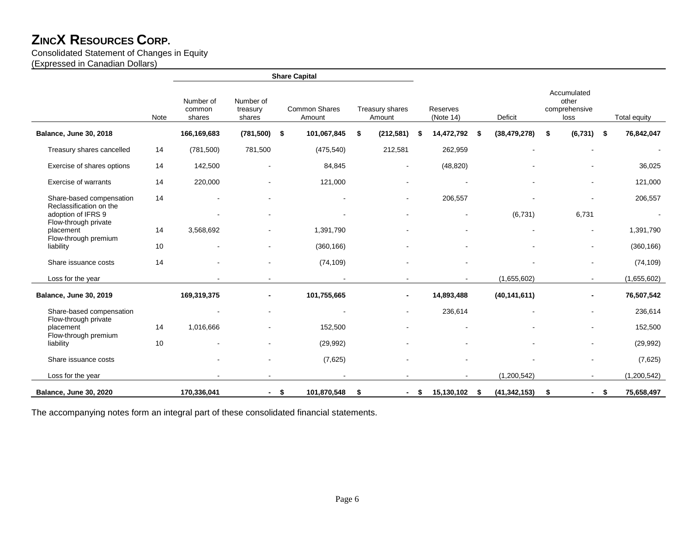#### Consolidated Statement of Changes in Equity

(Expressed in Canadian Dollars)

|                                               |      |                               |                                 |      | <b>Share Capital</b>    |                           |      |                              |      |                |                                               |     |              |
|-----------------------------------------------|------|-------------------------------|---------------------------------|------|-------------------------|---------------------------|------|------------------------------|------|----------------|-----------------------------------------------|-----|--------------|
|                                               | Note | Number of<br>common<br>shares | Number of<br>treasury<br>shares |      | Common Shares<br>Amount | Treasury shares<br>Amount |      | <b>Reserves</b><br>(Note 14) |      | Deficit        | Accumulated<br>other<br>comprehensive<br>loss |     | Total equity |
| Balance, June 30, 2018                        |      | 166,169,683                   | (781, 500)                      | -\$  | 101,067,845             | \$<br>(212, 581)          | - \$ | 14,472,792                   | - \$ | (38, 479, 278) | \$<br>(6, 731)                                | -\$ | 76,842,047   |
| Treasury shares cancelled                     | 14   | (781, 500)                    | 781,500                         |      | (475, 540)              | 212,581                   |      | 262,959                      |      |                |                                               |     |              |
| Exercise of shares options                    | 14   | 142,500                       |                                 |      | 84,845                  |                           |      | (48, 820)                    |      |                |                                               |     | 36,025       |
| <b>Exercise of warrants</b>                   | 14   | 220,000                       |                                 |      | 121,000                 |                           |      |                              |      |                |                                               |     | 121,000      |
| Share-based compensation                      | 14   |                               |                                 |      |                         | $\blacksquare$            |      | 206,557                      |      |                |                                               |     | 206,557      |
| Reclassification on the<br>adoption of IFRS 9 |      |                               |                                 |      |                         |                           |      | $\blacksquare$               |      | (6, 731)       | 6,731                                         |     |              |
| Flow-through private<br>placement             | 14   | 3,568,692                     |                                 |      | 1,391,790               |                           |      |                              |      |                | $\blacksquare$                                |     | 1,391,790    |
| Flow-through premium<br>liability             | 10   |                               |                                 |      | (360, 166)              |                           |      |                              |      |                |                                               |     | (360, 166)   |
| Share issuance costs                          | 14   |                               |                                 |      | (74, 109)               |                           |      |                              |      |                |                                               |     | (74, 109)    |
| Loss for the year                             |      |                               |                                 |      |                         |                           |      |                              |      | (1,655,602)    | $\sim$                                        |     | (1,655,602)  |
| <b>Balance, June 30, 2019</b>                 |      | 169,319,375                   |                                 |      | 101,755,665             | ٠                         |      | 14,893,488                   |      | (40, 141, 611) | -                                             |     | 76,507,542   |
| Share-based compensation                      |      |                               |                                 |      |                         | $\blacksquare$            |      | 236,614                      |      |                |                                               |     | 236,614      |
| Flow-through private<br>placement             | 14   | 1,016,666                     |                                 |      | 152,500                 |                           |      |                              |      |                | ۰                                             |     | 152,500      |
| Flow-through premium<br>liability             | 10   |                               |                                 |      | (29, 992)               |                           |      |                              |      |                |                                               |     | (29, 992)    |
| Share issuance costs                          |      |                               |                                 |      | (7,625)                 |                           |      |                              |      |                |                                               |     | (7,625)      |
| Loss for the year                             |      |                               |                                 |      |                         |                           |      |                              |      | (1,200,542)    |                                               |     | (1,200,542)  |
| <b>Balance, June 30, 2020</b>                 |      | 170,336,041                   | $\sim$                          | - \$ | 101,870,548             | \$<br>$\sim$              | \$   | 15,130,102 \$                |      | (41, 342, 153) | \$<br>$\sim$ 10 $\pm$                         | -\$ | 75,658,497   |

The accompanying notes form an integral part of these consolidated financial statements.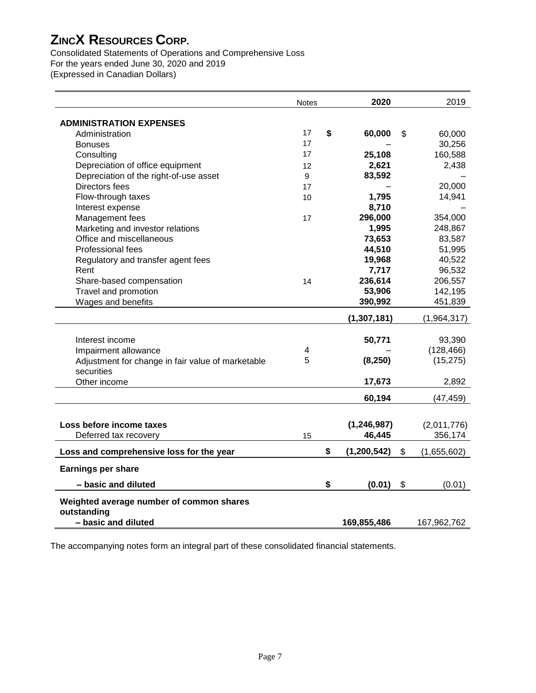Consolidated Statements of Operations and Comprehensive Loss For the years ended June 30, 2020 and 2019 (Expressed in Canadian Dollars)

|                                                   | <b>Notes</b> | 2020              | 2019              |
|---------------------------------------------------|--------------|-------------------|-------------------|
| <b>ADMINISTRATION EXPENSES</b>                    |              |                   |                   |
| Administration                                    | 17           | \$<br>60,000      | \$<br>60,000      |
| <b>Bonuses</b>                                    | 17           |                   | 30,256            |
| Consulting                                        | 17           | 25,108            | 160,588           |
| Depreciation of office equipment                  | 12           | 2,621             | 2,438             |
| Depreciation of the right-of-use asset            | 9            | 83,592            |                   |
| Directors fees                                    | 17           |                   | 20,000            |
| Flow-through taxes                                | 10           | 1,795             | 14,941            |
| Interest expense                                  |              | 8,710             |                   |
| Management fees                                   | 17           | 296,000           | 354,000           |
| Marketing and investor relations                  |              | 1,995             | 248,867           |
| Office and miscellaneous                          |              | 73,653            | 83,587            |
| Professional fees                                 |              | 44,510            | 51,995            |
| Regulatory and transfer agent fees                |              | 19,968            | 40,522            |
| Rent                                              |              | 7,717             | 96,532            |
| Share-based compensation                          | 14           | 236,614           | 206,557           |
| Travel and promotion                              |              | 53,906            | 142,195           |
| Wages and benefits                                |              | 390,992           | 451,839           |
|                                                   |              | (1, 307, 181)     | (1,964,317)       |
|                                                   |              |                   |                   |
| Interest income                                   |              | 50,771            | 93,390            |
| Impairment allowance                              | 4            |                   | (128, 466)        |
| Adjustment for change in fair value of marketable | 5            | (8, 250)          | (15, 275)         |
| securities                                        |              |                   |                   |
| Other income                                      |              | 17,673            | 2,892             |
|                                                   |              | 60,194            | (47, 459)         |
|                                                   |              |                   |                   |
| Loss before income taxes                          |              | (1, 246, 987)     | (2,011,776)       |
| Deferred tax recovery                             | 15           | 46,445            | 356,174           |
|                                                   |              |                   |                   |
| Loss and comprehensive loss for the year          |              | \$<br>(1,200,542) | \$<br>(1,655,602) |
| <b>Earnings per share</b>                         |              |                   |                   |
| - basic and diluted                               |              | \$<br>(0.01)      | \$<br>(0.01)      |
| Weighted average number of common shares          |              |                   |                   |
| outstanding                                       |              |                   |                   |
| - basic and diluted                               |              | 169,855,486       | 167,962,762       |

The accompanying notes form an integral part of these consolidated financial statements.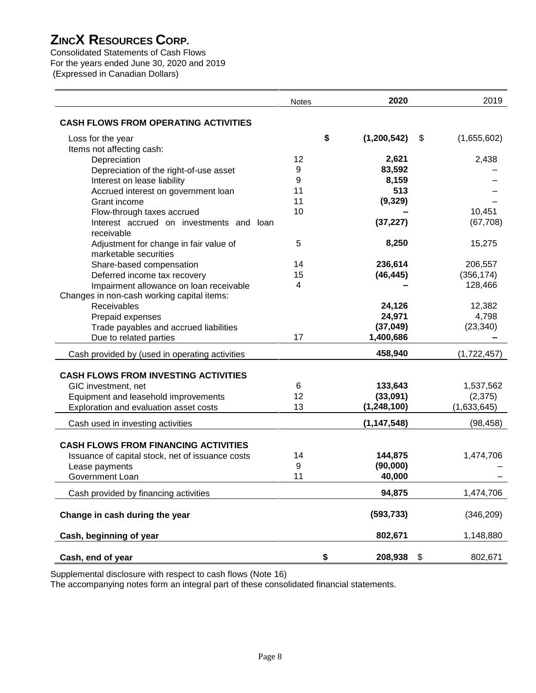Consolidated Statements of Cash Flows For the years ended June 30, 2020 and 2019 (Expressed in Canadian Dollars)

|                                                                 | <b>Notes</b> | 2020              | 2019              |
|-----------------------------------------------------------------|--------------|-------------------|-------------------|
| <b>CASH FLOWS FROM OPERATING ACTIVITIES</b>                     |              |                   |                   |
| Loss for the year                                               |              | \$<br>(1,200,542) | \$<br>(1,655,602) |
| Items not affecting cash:                                       |              |                   |                   |
| Depreciation                                                    | 12           | 2,621             | 2,438             |
| Depreciation of the right-of-use asset                          | 9            | 83,592            |                   |
| Interest on lease liability                                     | 9            | 8,159             |                   |
| Accrued interest on government loan                             | 11           | 513               |                   |
| Grant income                                                    | 11           | (9, 329)          |                   |
| Flow-through taxes accrued                                      | 10           |                   | 10,451            |
| Interest accrued on investments and loan<br>receivable          |              | (37, 227)         | (67, 708)         |
| Adjustment for change in fair value of<br>marketable securities | 5            | 8,250             | 15,275            |
| Share-based compensation                                        | 14           | 236,614           | 206,557           |
| Deferred income tax recovery                                    | 15           | (46, 445)         | (356, 174)        |
| Impairment allowance on loan receivable                         | 4            |                   | 128,466           |
| Changes in non-cash working capital items:                      |              |                   |                   |
| Receivables                                                     |              | 24,126            | 12,382            |
| Prepaid expenses                                                |              | 24,971            | 4,798             |
| Trade payables and accrued liabilities                          |              | (37, 049)         | (23, 340)         |
| Due to related parties                                          | 17           | 1,400,686         |                   |
| Cash provided by (used in operating activities                  |              | 458,940           | (1,722,457)       |
|                                                                 |              |                   |                   |
| <b>CASH FLOWS FROM INVESTING ACTIVITIES</b>                     |              |                   |                   |
| GIC investment, net                                             | 6            | 133,643           | 1,537,562         |
| Equipment and leasehold improvements                            | 12           | (33,091)          | (2, 375)          |
| Exploration and evaluation asset costs                          | 13           | (1, 248, 100)     | (1,633,645)       |
| Cash used in investing activities                               |              | (1, 147, 548)     | (98, 458)         |
| <b>CASH FLOWS FROM FINANCING ACTIVITIES</b>                     |              |                   |                   |
|                                                                 | 14           | 144,875           | 1,474,706         |
| Issuance of capital stock, net of issuance costs                | 9            | (90,000)          |                   |
| Lease payments<br><b>Government Loan</b>                        | 11           | 40,000            |                   |
|                                                                 |              |                   |                   |
| Cash provided by financing activities                           |              | 94,875            | 1,474,706         |
| Change in cash during the year                                  |              | (593, 733)        | (346, 209)        |
| Cash, beginning of year                                         |              | 802,671           | 1,148,880         |
| Cash, end of year                                               |              | \$<br>208,938     | \$<br>802,671     |

Supplemental disclosure with respect to cash flows (Note 16)

The accompanying notes form an integral part of these consolidated financial statements.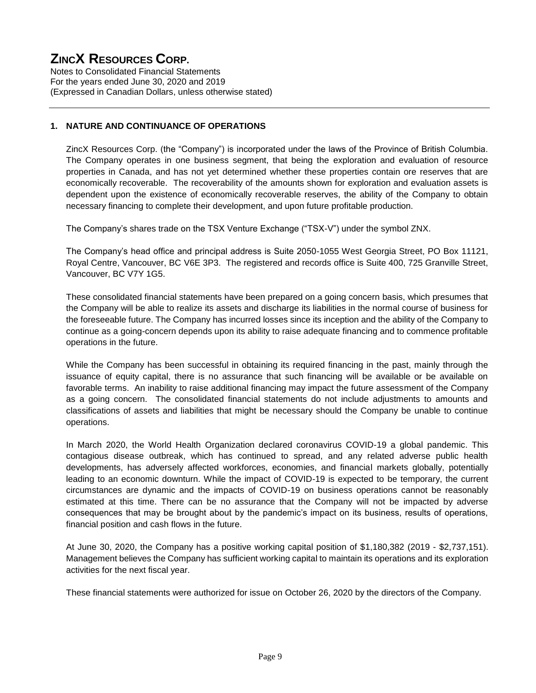Notes to Consolidated Financial Statements For the years ended June 30, 2020 and 2019 (Expressed in Canadian Dollars, unless otherwise stated)

#### **1. NATURE AND CONTINUANCE OF OPERATIONS**

ZincX Resources Corp. (the "Company") is incorporated under the laws of the Province of British Columbia. The Company operates in one business segment, that being the exploration and evaluation of resource properties in Canada, and has not yet determined whether these properties contain ore reserves that are economically recoverable. The recoverability of the amounts shown for exploration and evaluation assets is dependent upon the existence of economically recoverable reserves, the ability of the Company to obtain necessary financing to complete their development, and upon future profitable production.

The Company's shares trade on the TSX Venture Exchange ("TSX-V") under the symbol ZNX.

The Company's head office and principal address is Suite 2050-1055 West Georgia Street, PO Box 11121, Royal Centre, Vancouver, BC V6E 3P3. The registered and records office is Suite 400, 725 Granville Street, Vancouver, BC V7Y 1G5.

These consolidated financial statements have been prepared on a going concern basis, which presumes that the Company will be able to realize its assets and discharge its liabilities in the normal course of business for the foreseeable future. The Company has incurred losses since its inception and the ability of the Company to continue as a going-concern depends upon its ability to raise adequate financing and to commence profitable operations in the future.

While the Company has been successful in obtaining its required financing in the past, mainly through the issuance of equity capital, there is no assurance that such financing will be available or be available on favorable terms. An inability to raise additional financing may impact the future assessment of the Company as a going concern. The consolidated financial statements do not include adjustments to amounts and classifications of assets and liabilities that might be necessary should the Company be unable to continue operations.

In March 2020, the World Health Organization declared coronavirus COVID-19 a global pandemic. This contagious disease outbreak, which has continued to spread, and any related adverse public health developments, has adversely affected workforces, economies, and financial markets globally, potentially leading to an economic downturn. While the impact of COVID-19 is expected to be temporary, the current circumstances are dynamic and the impacts of COVID-19 on business operations cannot be reasonably estimated at this time. There can be no assurance that the Company will not be impacted by adverse consequences that may be brought about by the pandemic's impact on its business, results of operations, financial position and cash flows in the future.

At June 30, 2020, the Company has a positive working capital position of \$1,180,382 (2019 - \$2,737,151). Management believes the Company has sufficient working capital to maintain its operations and its exploration activities for the next fiscal year.

These financial statements were authorized for issue on October 26, 2020 by the directors of the Company.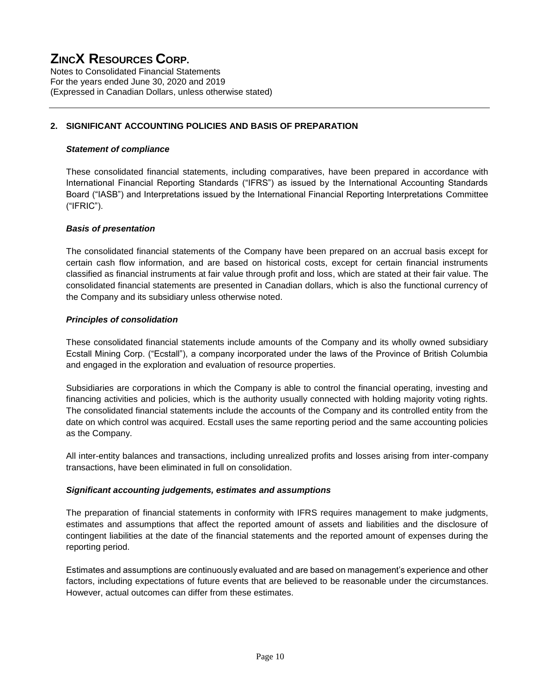Notes to Consolidated Financial Statements For the years ended June 30, 2020 and 2019 (Expressed in Canadian Dollars, unless otherwise stated)

#### **2. SIGNIFICANT ACCOUNTING POLICIES AND BASIS OF PREPARATION**

#### *Statement of compliance*

These consolidated financial statements, including comparatives, have been prepared in accordance with International Financial Reporting Standards ("IFRS") as issued by the International Accounting Standards Board ("IASB") and Interpretations issued by the International Financial Reporting Interpretations Committee ("IFRIC").

#### *Basis of presentation*

The consolidated financial statements of the Company have been prepared on an accrual basis except for certain cash flow information, and are based on historical costs, except for certain financial instruments classified as financial instruments at fair value through profit and loss, which are stated at their fair value. The consolidated financial statements are presented in Canadian dollars, which is also the functional currency of the Company and its subsidiary unless otherwise noted.

#### *Principles of consolidation*

These consolidated financial statements include amounts of the Company and its wholly owned subsidiary Ecstall Mining Corp. ("Ecstall"), a company incorporated under the laws of the Province of British Columbia and engaged in the exploration and evaluation of resource properties.

Subsidiaries are corporations in which the Company is able to control the financial operating, investing and financing activities and policies, which is the authority usually connected with holding majority voting rights. The consolidated financial statements include the accounts of the Company and its controlled entity from the date on which control was acquired. Ecstall uses the same reporting period and the same accounting policies as the Company.

All inter-entity balances and transactions, including unrealized profits and losses arising from inter-company transactions, have been eliminated in full on consolidation.

#### *Significant accounting judgements, estimates and assumptions*

The preparation of financial statements in conformity with IFRS requires management to make judgments, estimates and assumptions that affect the reported amount of assets and liabilities and the disclosure of contingent liabilities at the date of the financial statements and the reported amount of expenses during the reporting period.

Estimates and assumptions are continuously evaluated and are based on management's experience and other factors, including expectations of future events that are believed to be reasonable under the circumstances. However, actual outcomes can differ from these estimates.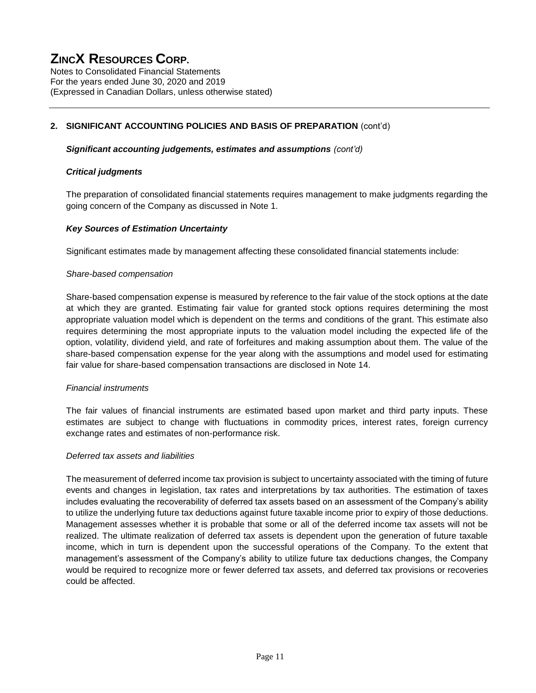Notes to Consolidated Financial Statements For the years ended June 30, 2020 and 2019 (Expressed in Canadian Dollars, unless otherwise stated)

#### **2. SIGNIFICANT ACCOUNTING POLICIES AND BASIS OF PREPARATION** (cont'd)

#### *Significant accounting judgements, estimates and assumptions (cont'd)*

#### *Critical judgments*

The preparation of consolidated financial statements requires management to make judgments regarding the going concern of the Company as discussed in Note 1.

#### *Key Sources of Estimation Uncertainty*

Significant estimates made by management affecting these consolidated financial statements include:

#### *Share-based compensation*

Share-based compensation expense is measured by reference to the fair value of the stock options at the date at which they are granted. Estimating fair value for granted stock options requires determining the most appropriate valuation model which is dependent on the terms and conditions of the grant. This estimate also requires determining the most appropriate inputs to the valuation model including the expected life of the option, volatility, dividend yield, and rate of forfeitures and making assumption about them. The value of the share-based compensation expense for the year along with the assumptions and model used for estimating fair value for share-based compensation transactions are disclosed in Note 14.

#### *Financial instruments*

The fair values of financial instruments are estimated based upon market and third party inputs. These estimates are subject to change with fluctuations in commodity prices, interest rates, foreign currency exchange rates and estimates of non-performance risk.

#### *Deferred tax assets and liabilities*

The measurement of deferred income tax provision is subject to uncertainty associated with the timing of future events and changes in legislation, tax rates and interpretations by tax authorities. The estimation of taxes includes evaluating the recoverability of deferred tax assets based on an assessment of the Company's ability to utilize the underlying future tax deductions against future taxable income prior to expiry of those deductions. Management assesses whether it is probable that some or all of the deferred income tax assets will not be realized. The ultimate realization of deferred tax assets is dependent upon the generation of future taxable income, which in turn is dependent upon the successful operations of the Company. To the extent that management's assessment of the Company's ability to utilize future tax deductions changes, the Company would be required to recognize more or fewer deferred tax assets, and deferred tax provisions or recoveries could be affected.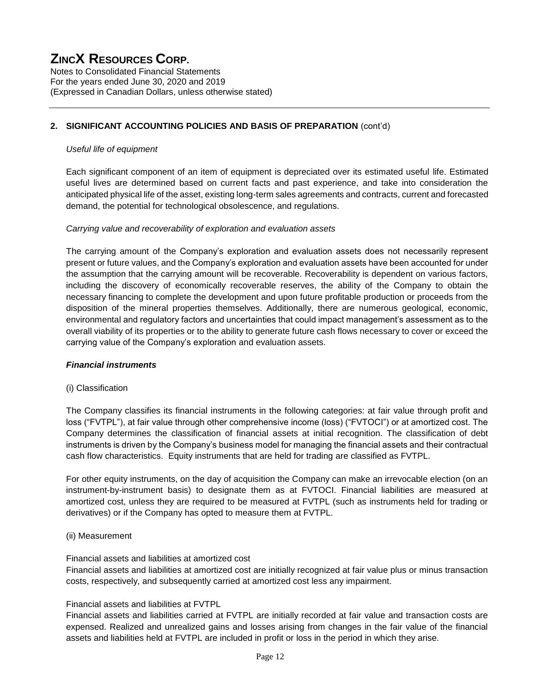Notes to Consolidated Financial Statements For the years ended June 30, 2020 and 2019 (Expressed in Canadian Dollars, unless otherwise stated)

#### **2. SIGNIFICANT ACCOUNTING POLICIES AND BASIS OF PREPARATION** (cont'd)

#### *Useful life of equipment*

Each significant component of an item of equipment is depreciated over its estimated useful life. Estimated useful lives are determined based on current facts and past experience, and take into consideration the anticipated physical life of the asset, existing long-term sales agreements and contracts, current and forecasted demand, the potential for technological obsolescence, and regulations.

#### *Carrying value and recoverability of exploration and evaluation assets*

The carrying amount of the Company's exploration and evaluation assets does not necessarily represent present or future values, and the Company's exploration and evaluation assets have been accounted for under the assumption that the carrying amount will be recoverable. Recoverability is dependent on various factors, including the discovery of economically recoverable reserves, the ability of the Company to obtain the necessary financing to complete the development and upon future profitable production or proceeds from the disposition of the mineral properties themselves. Additionally, there are numerous geological, economic, environmental and regulatory factors and uncertainties that could impact management's assessment as to the overall viability of its properties or to the ability to generate future cash flows necessary to cover or exceed the carrying value of the Company's exploration and evaluation assets.

#### *Financial instruments*

#### (i) Classification

The Company classifies its financial instruments in the following categories: at fair value through profit and loss ("FVTPL"), at fair value through other comprehensive income (loss) ("FVTOCI") or at amortized cost. The Company determines the classification of financial assets at initial recognition. The classification of debt instruments is driven by the Company's business model for managing the financial assets and their contractual cash flow characteristics. Equity instruments that are held for trading are classified as FVTPL.

For other equity instruments, on the day of acquisition the Company can make an irrevocable election (on an instrument-by-instrument basis) to designate them as at FVTOCI. Financial liabilities are measured at amortized cost, unless they are required to be measured at FVTPL (such as instruments held for trading or derivatives) or if the Company has opted to measure them at FVTPL.

#### (ii) Measurement

#### Financial assets and liabilities at amortized cost

Financial assets and liabilities at amortized cost are initially recognized at fair value plus or minus transaction costs, respectively, and subsequently carried at amortized cost less any impairment.

#### Financial assets and liabilities at FVTPL

Financial assets and liabilities carried at FVTPL are initially recorded at fair value and transaction costs are expensed. Realized and unrealized gains and losses arising from changes in the fair value of the financial assets and liabilities held at FVTPL are included in profit or loss in the period in which they arise.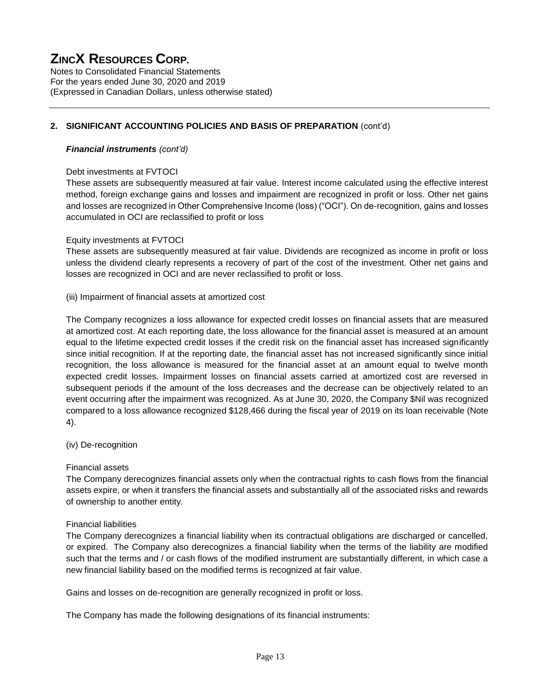Notes to Consolidated Financial Statements For the years ended June 30, 2020 and 2019 (Expressed in Canadian Dollars, unless otherwise stated)

#### **2. SIGNIFICANT ACCOUNTING POLICIES AND BASIS OF PREPARATION** (cont'd)

#### *Financial instruments (cont'd)*

#### Debt investments at FVTOCI

These assets are subsequently measured at fair value. Interest income calculated using the effective interest method, foreign exchange gains and losses and impairment are recognized in profit or loss. Other net gains and losses are recognized in Other Comprehensive Income (loss) ("OCI"). On de-recognition, gains and losses accumulated in OCI are reclassified to profit or loss

#### Equity investments at FVTOCI

These assets are subsequently measured at fair value. Dividends are recognized as income in profit or loss unless the dividend clearly represents a recovery of part of the cost of the investment. Other net gains and losses are recognized in OCI and are never reclassified to profit or loss.

#### (iii) Impairment of financial assets at amortized cost

The Company recognizes a loss allowance for expected credit losses on financial assets that are measured at amortized cost. At each reporting date, the loss allowance for the financial asset is measured at an amount equal to the lifetime expected credit losses if the credit risk on the financial asset has increased significantly since initial recognition. If at the reporting date, the financial asset has not increased significantly since initial recognition, the loss allowance is measured for the financial asset at an amount equal to twelve month expected credit losses. Impairment losses on financial assets carried at amortized cost are reversed in subsequent periods if the amount of the loss decreases and the decrease can be objectively related to an event occurring after the impairment was recognized. As at June 30, 2020, the Company \$Nil was recognized compared to a loss allowance recognized \$128,466 during the fiscal year of 2019 on its loan receivable (Note 4).

#### (iv) De-recognition

#### Financial assets

The Company derecognizes financial assets only when the contractual rights to cash flows from the financial assets expire, or when it transfers the financial assets and substantially all of the associated risks and rewards of ownership to another entity.

#### Financial liabilities

The Company derecognizes a financial liability when its contractual obligations are discharged or cancelled, or expired. The Company also derecognizes a financial liability when the terms of the liability are modified such that the terms and / or cash flows of the modified instrument are substantially different, in which case a new financial liability based on the modified terms is recognized at fair value.

Gains and losses on de-recognition are generally recognized in profit or loss.

The Company has made the following designations of its financial instruments: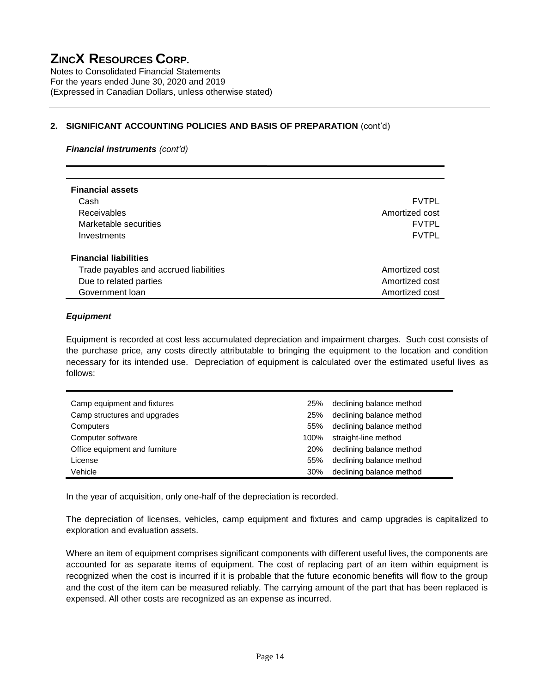Notes to Consolidated Financial Statements For the years ended June 30, 2020 and 2019 (Expressed in Canadian Dollars, unless otherwise stated)

#### **2. SIGNIFICANT ACCOUNTING POLICIES AND BASIS OF PREPARATION** (cont'd)

#### *Financial instruments (cont'd)*

| <b>Financial assets</b>                |                |
|----------------------------------------|----------------|
| Cash                                   | <b>FVTPL</b>   |
| <b>Receivables</b>                     | Amortized cost |
| Marketable securities                  | <b>FVTPL</b>   |
| Investments                            | <b>FVTPL</b>   |
|                                        |                |
| <b>Financial liabilities</b>           |                |
| Trade payables and accrued liabilities | Amortized cost |
| Due to related parties                 | Amortized cost |
| Government loan                        | Amortized cost |

#### *Equipment*

Equipment is recorded at cost less accumulated depreciation and impairment charges. Such cost consists of the purchase price, any costs directly attributable to bringing the equipment to the location and condition necessary for its intended use. Depreciation of equipment is calculated over the estimated useful lives as follows:

| Camp equipment and fixtures    | 25%  | declining balance method |
|--------------------------------|------|--------------------------|
| Camp structures and upgrades   | 25%  | declining balance method |
| Computers                      | 55%  | declining balance method |
| Computer software              | 100% | straight-line method     |
| Office equipment and furniture | 20%  | declining balance method |
| License                        | 55%  | declining balance method |
| Vehicle                        | 30%  | declining balance method |

In the year of acquisition, only one-half of the depreciation is recorded.

The depreciation of licenses, vehicles, camp equipment and fixtures and camp upgrades is capitalized to exploration and evaluation assets.

Where an item of equipment comprises significant components with different useful lives, the components are accounted for as separate items of equipment. The cost of replacing part of an item within equipment is recognized when the cost is incurred if it is probable that the future economic benefits will flow to the group and the cost of the item can be measured reliably. The carrying amount of the part that has been replaced is expensed. All other costs are recognized as an expense as incurred.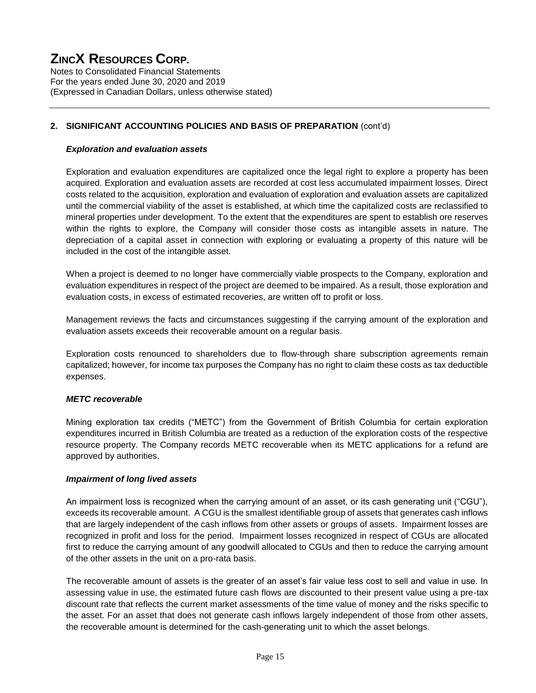Notes to Consolidated Financial Statements For the years ended June 30, 2020 and 2019 (Expressed in Canadian Dollars, unless otherwise stated)

#### **2. SIGNIFICANT ACCOUNTING POLICIES AND BASIS OF PREPARATION** (cont'd)

#### *Exploration and evaluation assets*

Exploration and evaluation expenditures are capitalized once the legal right to explore a property has been acquired. Exploration and evaluation assets are recorded at cost less accumulated impairment losses. Direct costs related to the acquisition, exploration and evaluation of exploration and evaluation assets are capitalized until the commercial viability of the asset is established, at which time the capitalized costs are reclassified to mineral properties under development. To the extent that the expenditures are spent to establish ore reserves within the rights to explore, the Company will consider those costs as intangible assets in nature. The depreciation of a capital asset in connection with exploring or evaluating a property of this nature will be included in the cost of the intangible asset.

When a project is deemed to no longer have commercially viable prospects to the Company, exploration and evaluation expenditures in respect of the project are deemed to be impaired. As a result, those exploration and evaluation costs, in excess of estimated recoveries, are written off to profit or loss.

Management reviews the facts and circumstances suggesting if the carrying amount of the exploration and evaluation assets exceeds their recoverable amount on a regular basis.

Exploration costs renounced to shareholders due to flow-through share subscription agreements remain capitalized; however, for income tax purposes the Company has no right to claim these costs as tax deductible expenses.

#### *METC recoverable*

Mining exploration tax credits ("METC") from the Government of British Columbia for certain exploration expenditures incurred in British Columbia are treated as a reduction of the exploration costs of the respective resource property. The Company records METC recoverable when its METC applications for a refund are approved by authorities.

#### *Impairment of long lived assets*

An impairment loss is recognized when the carrying amount of an asset, or its cash generating unit ("CGU"), exceeds its recoverable amount. A CGU is the smallest identifiable group of assets that generates cash inflows that are largely independent of the cash inflows from other assets or groups of assets. Impairment losses are recognized in profit and loss for the period. Impairment losses recognized in respect of CGUs are allocated first to reduce the carrying amount of any goodwill allocated to CGUs and then to reduce the carrying amount of the other assets in the unit on a pro-rata basis.

The recoverable amount of assets is the greater of an asset's fair value less cost to sell and value in use. In assessing value in use, the estimated future cash flows are discounted to their present value using a pre-tax discount rate that reflects the current market assessments of the time value of money and the risks specific to the asset. For an asset that does not generate cash inflows largely independent of those from other assets, the recoverable amount is determined for the cash-generating unit to which the asset belongs.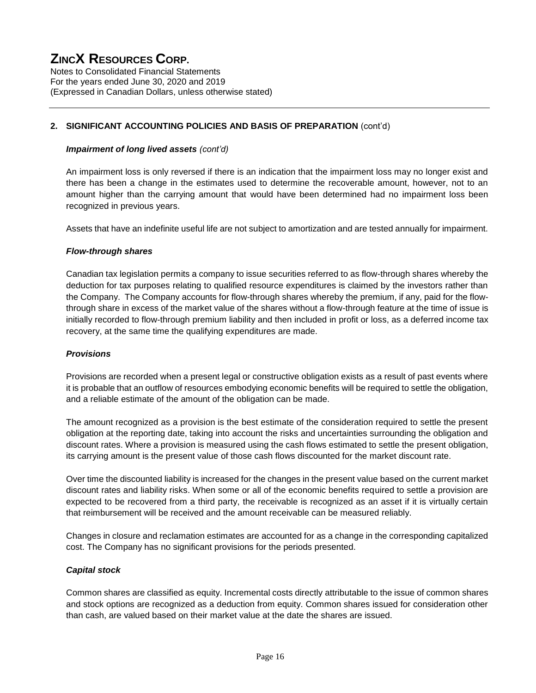Notes to Consolidated Financial Statements For the years ended June 30, 2020 and 2019 (Expressed in Canadian Dollars, unless otherwise stated)

#### **2. SIGNIFICANT ACCOUNTING POLICIES AND BASIS OF PREPARATION** (cont'd)

#### *Impairment of long lived assets (cont'd)*

An impairment loss is only reversed if there is an indication that the impairment loss may no longer exist and there has been a change in the estimates used to determine the recoverable amount, however, not to an amount higher than the carrying amount that would have been determined had no impairment loss been recognized in previous years.

Assets that have an indefinite useful life are not subject to amortization and are tested annually for impairment.

#### *Flow-through shares*

Canadian tax legislation permits a company to issue securities referred to as flow-through shares whereby the deduction for tax purposes relating to qualified resource expenditures is claimed by the investors rather than the Company. The Company accounts for flow-through shares whereby the premium, if any, paid for the flowthrough share in excess of the market value of the shares without a flow-through feature at the time of issue is initially recorded to flow-through premium liability and then included in profit or loss, as a deferred income tax recovery, at the same time the qualifying expenditures are made.

#### *Provisions*

Provisions are recorded when a present legal or constructive obligation exists as a result of past events where it is probable that an outflow of resources embodying economic benefits will be required to settle the obligation, and a reliable estimate of the amount of the obligation can be made.

The amount recognized as a provision is the best estimate of the consideration required to settle the present obligation at the reporting date, taking into account the risks and uncertainties surrounding the obligation and discount rates. Where a provision is measured using the cash flows estimated to settle the present obligation, its carrying amount is the present value of those cash flows discounted for the market discount rate.

Over time the discounted liability is increased for the changes in the present value based on the current market discount rates and liability risks. When some or all of the economic benefits required to settle a provision are expected to be recovered from a third party, the receivable is recognized as an asset if it is virtually certain that reimbursement will be received and the amount receivable can be measured reliably.

Changes in closure and reclamation estimates are accounted for as a change in the corresponding capitalized cost. The Company has no significant provisions for the periods presented.

#### *Capital stock*

Common shares are classified as equity. Incremental costs directly attributable to the issue of common shares and stock options are recognized as a deduction from equity. Common shares issued for consideration other than cash, are valued based on their market value at the date the shares are issued.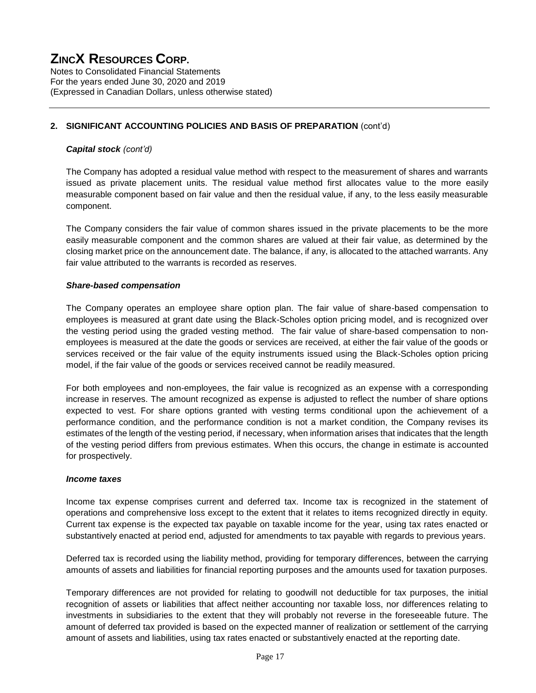Notes to Consolidated Financial Statements For the years ended June 30, 2020 and 2019 (Expressed in Canadian Dollars, unless otherwise stated)

#### **2. SIGNIFICANT ACCOUNTING POLICIES AND BASIS OF PREPARATION** (cont'd)

#### *Capital stock (cont'd)*

The Company has adopted a residual value method with respect to the measurement of shares and warrants issued as private placement units. The residual value method first allocates value to the more easily measurable component based on fair value and then the residual value, if any, to the less easily measurable component.

The Company considers the fair value of common shares issued in the private placements to be the more easily measurable component and the common shares are valued at their fair value, as determined by the closing market price on the announcement date. The balance, if any, is allocated to the attached warrants. Any fair value attributed to the warrants is recorded as reserves.

#### *Share-based compensation*

The Company operates an employee share option plan. The fair value of share-based compensation to employees is measured at grant date using the Black-Scholes option pricing model, and is recognized over the vesting period using the graded vesting method. The fair value of share-based compensation to nonemployees is measured at the date the goods or services are received, at either the fair value of the goods or services received or the fair value of the equity instruments issued using the Black-Scholes option pricing model, if the fair value of the goods or services received cannot be readily measured.

For both employees and non-employees, the fair value is recognized as an expense with a corresponding increase in reserves. The amount recognized as expense is adjusted to reflect the number of share options expected to vest. For share options granted with vesting terms conditional upon the achievement of a performance condition, and the performance condition is not a market condition, the Company revises its estimates of the length of the vesting period, if necessary, when information arises that indicates that the length of the vesting period differs from previous estimates. When this occurs, the change in estimate is accounted for prospectively.

#### *Income taxes*

Income tax expense comprises current and deferred tax. Income tax is recognized in the statement of operations and comprehensive loss except to the extent that it relates to items recognized directly in equity. Current tax expense is the expected tax payable on taxable income for the year, using tax rates enacted or substantively enacted at period end, adjusted for amendments to tax payable with regards to previous years.

Deferred tax is recorded using the liability method, providing for temporary differences, between the carrying amounts of assets and liabilities for financial reporting purposes and the amounts used for taxation purposes.

Temporary differences are not provided for relating to goodwill not deductible for tax purposes, the initial recognition of assets or liabilities that affect neither accounting nor taxable loss, nor differences relating to investments in subsidiaries to the extent that they will probably not reverse in the foreseeable future. The amount of deferred tax provided is based on the expected manner of realization or settlement of the carrying amount of assets and liabilities, using tax rates enacted or substantively enacted at the reporting date.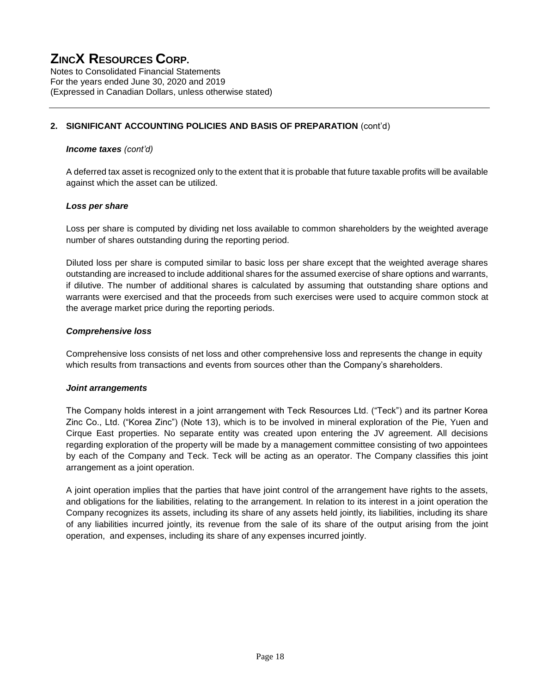Notes to Consolidated Financial Statements For the years ended June 30, 2020 and 2019 (Expressed in Canadian Dollars, unless otherwise stated)

#### **2. SIGNIFICANT ACCOUNTING POLICIES AND BASIS OF PREPARATION** (cont'd)

#### *Income taxes (cont'd)*

A deferred tax asset is recognized only to the extent that it is probable that future taxable profits will be available against which the asset can be utilized.

#### *Loss per share*

Loss per share is computed by dividing net loss available to common shareholders by the weighted average number of shares outstanding during the reporting period.

Diluted loss per share is computed similar to basic loss per share except that the weighted average shares outstanding are increased to include additional shares for the assumed exercise of share options and warrants, if dilutive. The number of additional shares is calculated by assuming that outstanding share options and warrants were exercised and that the proceeds from such exercises were used to acquire common stock at the average market price during the reporting periods.

#### *Comprehensive loss*

Comprehensive loss consists of net loss and other comprehensive loss and represents the change in equity which results from transactions and events from sources other than the Company's shareholders.

#### *Joint arrangements*

The Company holds interest in a joint arrangement with Teck Resources Ltd. ("Teck") and its partner Korea Zinc Co., Ltd. ("Korea Zinc") (Note 13), which is to be involved in mineral exploration of the Pie, Yuen and Cirque East properties. No separate entity was created upon entering the JV agreement. All decisions regarding exploration of the property will be made by a management committee consisting of two appointees by each of the Company and Teck. Teck will be acting as an operator. The Company classifies this joint arrangement as a joint operation.

A joint operation implies that the parties that have joint control of the arrangement have rights to the assets, and obligations for the liabilities, relating to the arrangement. In relation to its interest in a joint operation the Company recognizes its assets, including its share of any assets held jointly, its liabilities, including its share of any liabilities incurred jointly, its revenue from the sale of its share of the output arising from the joint operation, and expenses, including its share of any expenses incurred jointly.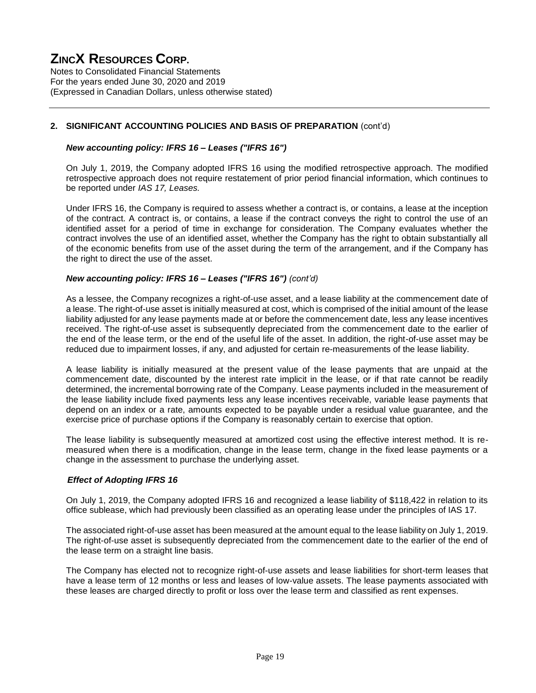Notes to Consolidated Financial Statements For the years ended June 30, 2020 and 2019 (Expressed in Canadian Dollars, unless otherwise stated)

#### **2. SIGNIFICANT ACCOUNTING POLICIES AND BASIS OF PREPARATION** (cont'd)

#### *New accounting policy: IFRS 16 – Leases ("IFRS 16")*

On July 1, 2019, the Company adopted IFRS 16 using the modified retrospective approach. The modified retrospective approach does not require restatement of prior period financial information, which continues to be reported under *IAS 17, Leases.*

Under IFRS 16, the Company is required to assess whether a contract is, or contains, a lease at the inception of the contract. A contract is, or contains, a lease if the contract conveys the right to control the use of an identified asset for a period of time in exchange for consideration. The Company evaluates whether the contract involves the use of an identified asset, whether the Company has the right to obtain substantially all of the economic benefits from use of the asset during the term of the arrangement, and if the Company has the right to direct the use of the asset.

#### *New accounting policy: IFRS 16 – Leases ("IFRS 16") (cont'd)*

As a lessee, the Company recognizes a right-of-use asset, and a lease liability at the commencement date of a lease. The right-of-use asset is initially measured at cost, which is comprised of the initial amount of the lease liability adjusted for any lease payments made at or before the commencement date, less any lease incentives received. The right-of-use asset is subsequently depreciated from the commencement date to the earlier of the end of the lease term, or the end of the useful life of the asset. In addition, the right-of-use asset may be reduced due to impairment losses, if any, and adjusted for certain re-measurements of the lease liability.

A lease liability is initially measured at the present value of the lease payments that are unpaid at the commencement date, discounted by the interest rate implicit in the lease, or if that rate cannot be readily determined, the incremental borrowing rate of the Company. Lease payments included in the measurement of the lease liability include fixed payments less any lease incentives receivable, variable lease payments that depend on an index or a rate, amounts expected to be payable under a residual value guarantee, and the exercise price of purchase options if the Company is reasonably certain to exercise that option.

The lease liability is subsequently measured at amortized cost using the effective interest method. It is remeasured when there is a modification, change in the lease term, change in the fixed lease payments or a change in the assessment to purchase the underlying asset.

#### *Effect of Adopting IFRS 16*

On July 1, 2019, the Company adopted IFRS 16 and recognized a lease liability of \$118,422 in relation to its office sublease, which had previously been classified as an operating lease under the principles of IAS 17.

The associated right-of-use asset has been measured at the amount equal to the lease liability on July 1, 2019. The right-of-use asset is subsequently depreciated from the commencement date to the earlier of the end of the lease term on a straight line basis.

The Company has elected not to recognize right-of-use assets and lease liabilities for short-term leases that have a lease term of 12 months or less and leases of low-value assets. The lease payments associated with these leases are charged directly to profit or loss over the lease term and classified as rent expenses.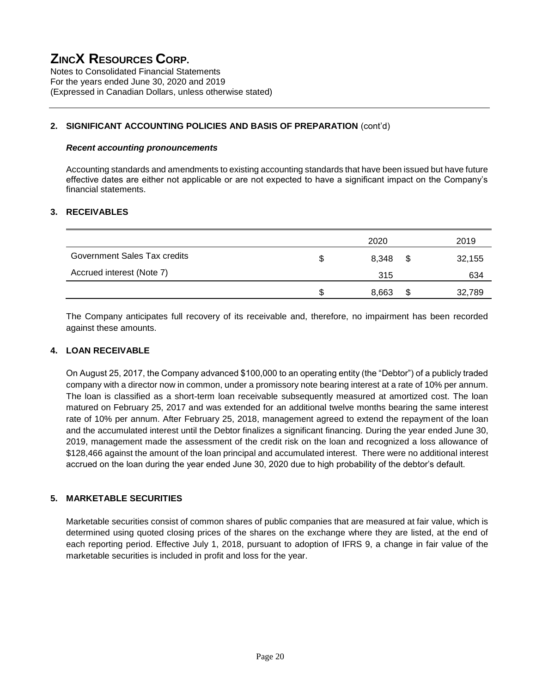Notes to Consolidated Financial Statements For the years ended June 30, 2020 and 2019 (Expressed in Canadian Dollars, unless otherwise stated)

#### **2. SIGNIFICANT ACCOUNTING POLICIES AND BASIS OF PREPARATION** (cont'd)

#### *Recent accounting pronouncements*

Accounting standards and amendments to existing accounting standards that have been issued but have future effective dates are either not applicable or are not expected to have a significant impact on the Company's financial statements.

#### **3. RECEIVABLES**

|                              | 2020  |   | 2019   |
|------------------------------|-------|---|--------|
| Government Sales Tax credits | 8,348 | S | 32,155 |
| Accrued interest (Note 7)    | 315   |   | 634    |
|                              | 8,663 | S | 32,789 |

The Company anticipates full recovery of its receivable and, therefore, no impairment has been recorded against these amounts.

#### **4. LOAN RECEIVABLE**

On August 25, 2017, the Company advanced \$100,000 to an operating entity (the "Debtor") of a publicly traded company with a director now in common, under a promissory note bearing interest at a rate of 10% per annum. The loan is classified as a short-term loan receivable subsequently measured at amortized cost. The loan matured on February 25, 2017 and was extended for an additional twelve months bearing the same interest rate of 10% per annum. After February 25, 2018, management agreed to extend the repayment of the loan and the accumulated interest until the Debtor finalizes a significant financing. During the year ended June 30, 2019, management made the assessment of the credit risk on the loan and recognized a loss allowance of \$128,466 against the amount of the loan principal and accumulated interest. There were no additional interest accrued on the loan during the year ended June 30, 2020 due to high probability of the debtor's default.

#### **5. MARKETABLE SECURITIES**

Marketable securities consist of common shares of public companies that are measured at fair value, which is determined using quoted closing prices of the shares on the exchange where they are listed, at the end of each reporting period. Effective July 1, 2018, pursuant to adoption of IFRS 9, a change in fair value of the marketable securities is included in profit and loss for the year.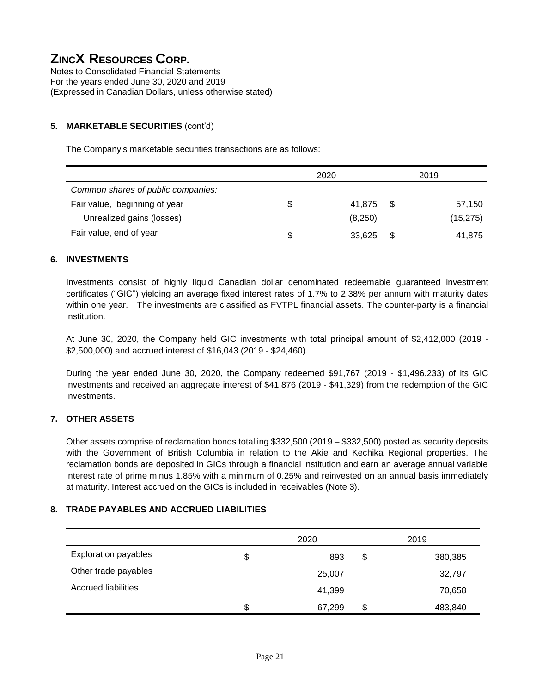Notes to Consolidated Financial Statements For the years ended June 30, 2020 and 2019 (Expressed in Canadian Dollars, unless otherwise stated)

#### **5. MARKETABLE SECURITIES** (cont'd)

The Company's marketable securities transactions are as follows:

|                                    |   | 2020    | 2019         |
|------------------------------------|---|---------|--------------|
| Common shares of public companies: |   |         |              |
| Fair value, beginning of year      |   | 41.875  | \$<br>57,150 |
| Unrealized gains (losses)          |   | (8,250) | (15,275)     |
| Fair value, end of year            | S | 33,625  | \$<br>41,875 |

#### **6. INVESTMENTS**

Investments consist of highly liquid Canadian dollar denominated redeemable guaranteed investment certificates ("GIC") yielding an average fixed interest rates of 1.7% to 2.38% per annum with maturity dates within one year. The investments are classified as FVTPL financial assets. The counter-party is a financial institution.

At June 30, 2020, the Company held GIC investments with total principal amount of \$2,412,000 (2019 - \$2,500,000) and accrued interest of \$16,043 (2019 - \$24,460).

During the year ended June 30, 2020, the Company redeemed \$91,767 (2019 - \$1,496,233) of its GIC investments and received an aggregate interest of \$41,876 (2019 - \$41,329) from the redemption of the GIC investments.

#### **7. OTHER ASSETS**

Other assets comprise of reclamation bonds totalling \$332,500 (2019 – \$332,500) posted as security deposits with the Government of British Columbia in relation to the Akie and Kechika Regional properties. The reclamation bonds are deposited in GICs through a financial institution and earn an average annual variable interest rate of prime minus 1.85% with a minimum of 0.25% and reinvested on an annual basis immediately at maturity. Interest accrued on the GICs is included in receivables (Note 3).

#### **8. TRADE PAYABLES AND ACCRUED LIABILITIES**

|                             | 2020         | 2019          |
|-----------------------------|--------------|---------------|
| <b>Exploration payables</b> | \$<br>893    | \$<br>380,385 |
| Other trade payables        | 25,007       | 32,797        |
| <b>Accrued liabilities</b>  | 41,399       | 70,658        |
|                             | \$<br>67,299 | \$<br>483,840 |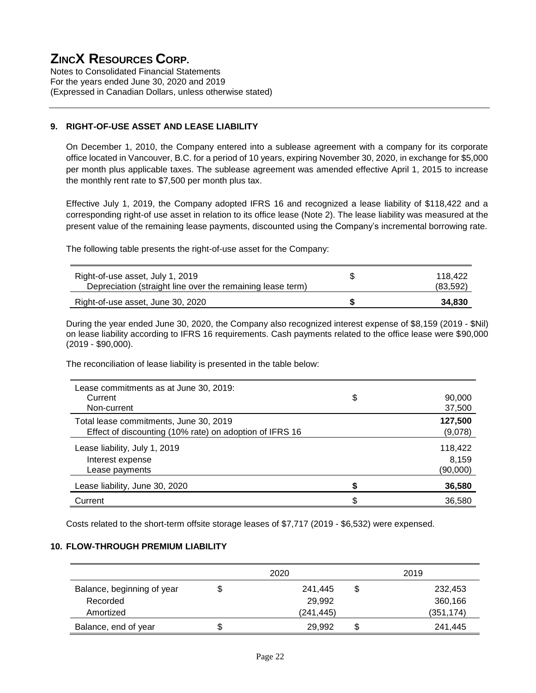Notes to Consolidated Financial Statements For the years ended June 30, 2020 and 2019 (Expressed in Canadian Dollars, unless otherwise stated)

#### **9. RIGHT-OF-USE ASSET AND LEASE LIABILITY**

On December 1, 2010, the Company entered into a sublease agreement with a company for its corporate office located in Vancouver, B.C. for a period of 10 years, expiring November 30, 2020, in exchange for \$5,000 per month plus applicable taxes. The sublease agreement was amended effective April 1, 2015 to increase the monthly rent rate to \$7,500 per month plus tax.

Effective July 1, 2019, the Company adopted IFRS 16 and recognized a lease liability of \$118,422 and a corresponding right-of use asset in relation to its office lease (Note 2). The lease liability was measured at the present value of the remaining lease payments, discounted using the Company's incremental borrowing rate.

The following table presents the right-of-use asset for the Company:

| Right-of-use asset, July 1, 2019<br>Depreciation (straight line over the remaining lease term) | S | 118.422<br>(83,592) |
|------------------------------------------------------------------------------------------------|---|---------------------|
| Right-of-use asset, June 30, 2020                                                              |   | 34,830              |

During the year ended June 30, 2020, the Company also recognized interest expense of \$8,159 (2019 - \$Nil) on lease liability according to IFRS 16 requirements. Cash payments related to the office lease were \$90,000 (2019 - \$90,000).

The reconciliation of lease liability is presented in the table below:

| Lease commitments as at June 30, 2019:                  |              |
|---------------------------------------------------------|--------------|
| Current                                                 | \$<br>90,000 |
| Non-current                                             | 37,500       |
| Total lease commitments, June 30, 2019                  | 127,500      |
| Effect of discounting (10% rate) on adoption of IFRS 16 | (9,078)      |
| Lease liability, July 1, 2019                           | 118,422      |
| Interest expense                                        | 8.159        |
| Lease payments                                          | (90,000)     |
| Lease liability, June 30, 2020                          | 36,580       |
| Current                                                 | \$<br>36,580 |

Costs related to the short-term offsite storage leases of \$7,717 (2019 - \$6,532) were expensed.

#### **10. FLOW-THROUGH PREMIUM LIABILITY**

|                            | 2020         | 2019          |
|----------------------------|--------------|---------------|
| Balance, beginning of year | 241.445      | 232,453       |
| Recorded                   | 29,992       | 360,166       |
| Amortized                  | (241, 445)   | (351, 174)    |
| Balance, end of year       | \$<br>29.992 | \$<br>241,445 |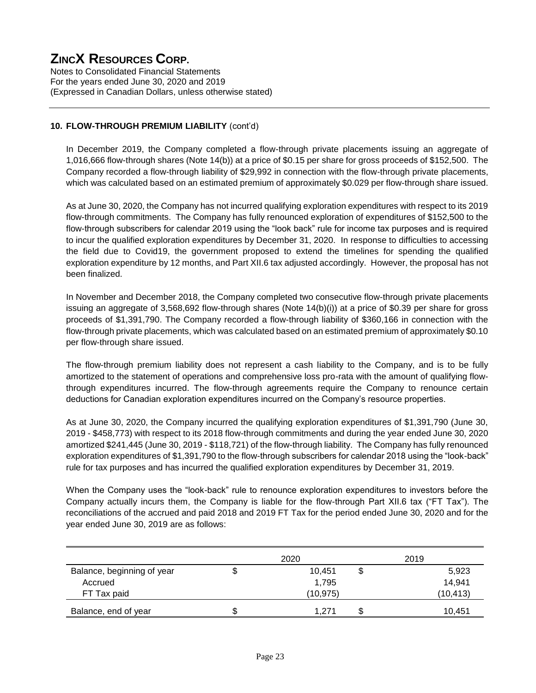Notes to Consolidated Financial Statements For the years ended June 30, 2020 and 2019 (Expressed in Canadian Dollars, unless otherwise stated)

#### **10. FLOW-THROUGH PREMIUM LIABILITY** (cont'd)

In December 2019, the Company completed a flow-through private placements issuing an aggregate of 1,016,666 flow-through shares (Note 14(b)) at a price of \$0.15 per share for gross proceeds of \$152,500. The Company recorded a flow-through liability of \$29,992 in connection with the flow-through private placements, which was calculated based on an estimated premium of approximately \$0.029 per flow-through share issued.

As at June 30, 2020, the Company has not incurred qualifying exploration expenditures with respect to its 2019 flow-through commitments. The Company has fully renounced exploration of expenditures of \$152,500 to the flow-through subscribers for calendar 2019 using the "look back" rule for income tax purposes and is required to incur the qualified exploration expenditures by December 31, 2020. In response to difficulties to accessing the field due to Covid19, the government proposed to extend the timelines for spending the qualified exploration expenditure by 12 months, and Part XII.6 tax adjusted accordingly. However, the proposal has not been finalized.

In November and December 2018, the Company completed two consecutive flow-through private placements issuing an aggregate of 3,568,692 flow-through shares (Note 14(b)(i)) at a price of \$0.39 per share for gross proceeds of \$1,391,790. The Company recorded a flow-through liability of \$360,166 in connection with the flow-through private placements, which was calculated based on an estimated premium of approximately \$0.10 per flow-through share issued.

The flow-through premium liability does not represent a cash liability to the Company, and is to be fully amortized to the statement of operations and comprehensive loss pro-rata with the amount of qualifying flowthrough expenditures incurred. The flow-through agreements require the Company to renounce certain deductions for Canadian exploration expenditures incurred on the Company's resource properties.

As at June 30, 2020, the Company incurred the qualifying exploration expenditures of \$1,391,790 (June 30, 2019 - \$458,773) with respect to its 2018 flow-through commitments and during the year ended June 30, 2020 amortized \$241,445 (June 30, 2019 - \$118,721) of the flow-through liability. The Company has fully renounced exploration expenditures of \$1,391,790 to the flow-through subscribers for calendar 2018 using the "look-back" rule for tax purposes and has incurred the qualified exploration expenditures by December 31, 2019.

When the Company uses the "look-back" rule to renounce exploration expenditures to investors before the Company actually incurs them, the Company is liable for the flow-through Part XII.6 tax ("FT Tax"). The reconciliations of the accrued and paid 2018 and 2019 FT Tax for the period ended June 30, 2020 and for the year ended June 30, 2019 are as follows:

|                            |   | 2020      |   | 2019      |
|----------------------------|---|-----------|---|-----------|
| Balance, beginning of year | J | 10,451    | Φ | 5,923     |
| Accrued                    |   | 1,795     |   | 14,941    |
| FT Tax paid                |   | (10, 975) |   | (10, 413) |
| Balance, end of year       | Ф | 1.271     |   | 10,451    |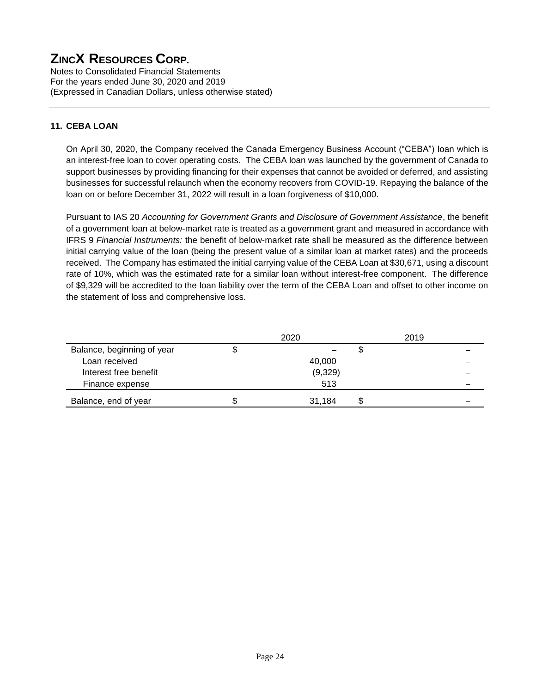Notes to Consolidated Financial Statements For the years ended June 30, 2020 and 2019 (Expressed in Canadian Dollars, unless otherwise stated)

#### **11. CEBA LOAN**

On April 30, 2020, the Company received the Canada Emergency Business Account ("CEBA") loan which is an interest-free loan to cover operating costs. The CEBA loan was launched by the government of Canada to support businesses by providing financing for their expenses that cannot be avoided or deferred, and assisting businesses for successful relaunch when the economy recovers from COVID-19. Repaying the balance of the loan on or before December 31, 2022 will result in a loan forgiveness of \$10,000.

Pursuant to IAS 20 *Accounting for Government Grants and Disclosure of Government Assistance*, the benefit of a government loan at below-market rate is treated as a government grant and measured in accordance with IFRS 9 *Financial Instruments:* the benefit of below-market rate shall be measured as the difference between initial carrying value of the loan (being the present value of a similar loan at market rates) and the proceeds received. The Company has estimated the initial carrying value of the CEBA Loan at \$30,671, using a discount rate of 10%, which was the estimated rate for a similar loan without interest-free component. The difference of \$9,329 will be accredited to the loan liability over the term of the CEBA Loan and offset to other income on the statement of loss and comprehensive loss.

|                            |    | 2020    | 2019 |  |
|----------------------------|----|---------|------|--|
| Balance, beginning of year | Φ  |         |      |  |
| Loan received              |    | 40,000  |      |  |
| Interest free benefit      |    | (9,329) |      |  |
| Finance expense            |    | 513     |      |  |
| Balance, end of year       | S. | 31.184  |      |  |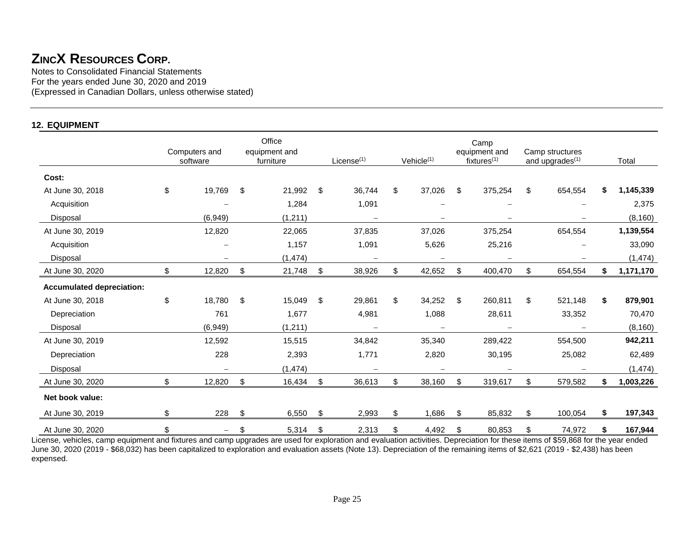Notes to Consolidated Financial Statements For the years ended June 30, 2020 and 2019 (Expressed in Canadian Dollars, unless otherwise stated)

#### **12. EQUIPMENT**

|                                  | Computers and<br>software | Office<br>equipment and<br>furniture | License $(1)$            | Vehicle $(1)$            | Camp<br>equipment and<br>fixtures $(1)$ | Camp structures<br>and upgrades <sup>(1)</sup> | Total           |
|----------------------------------|---------------------------|--------------------------------------|--------------------------|--------------------------|-----------------------------------------|------------------------------------------------|-----------------|
| Cost:                            |                           |                                      |                          |                          |                                         |                                                |                 |
| At June 30, 2018                 | \$<br>19,769              | \$<br>21,992                         | \$<br>36,744             | \$<br>37,026             | \$<br>375,254                           | \$<br>654,554                                  | \$<br>1,145,339 |
| Acquisition                      |                           | 1,284                                | 1,091                    |                          |                                         |                                                | 2,375           |
| Disposal                         | (6,949)                   | (1, 211)                             |                          |                          |                                         |                                                | (8, 160)        |
| At June 30, 2019                 | 12,820                    | 22,065                               | 37,835                   | 37,026                   | 375,254                                 | 654,554                                        | 1,139,554       |
| Acquisition                      |                           | 1,157                                | 1,091                    | 5,626                    | 25,216                                  |                                                | 33,090          |
| Disposal                         |                           | (1, 474)                             |                          |                          |                                         |                                                | (1, 474)        |
| At June 30, 2020                 | \$<br>12,820              | \$<br>21,748                         | \$<br>38,926             | \$<br>42,652             | \$<br>400,470                           | \$<br>654,554                                  | \$<br>1,171,170 |
| <b>Accumulated depreciation:</b> |                           |                                      |                          |                          |                                         |                                                |                 |
| At June 30, 2018                 | \$<br>18,780              | \$<br>15,049                         | \$<br>29,861             | \$<br>34,252             | \$<br>260,811                           | \$<br>521,148                                  | \$<br>879,901   |
| Depreciation                     | 761                       | 1,677                                | 4,981                    | 1,088                    | 28,611                                  | 33,352                                         | 70,470          |
| <b>Disposal</b>                  | (6,949)                   | (1, 211)                             | $\overline{\phantom{0}}$ | $\overline{\phantom{0}}$ | $\overline{\phantom{0}}$                |                                                | (8, 160)        |
| At June 30, 2019                 | 12,592                    | 15,515                               | 34,842                   | 35,340                   | 289,422                                 | 554,500                                        | 942,211         |
| Depreciation                     | 228                       | 2,393                                | 1,771                    | 2,820                    | 30,195                                  | 25,082                                         | 62,489          |
| Disposal                         |                           | (1, 474)                             |                          |                          |                                         |                                                | (1, 474)        |
| At June 30, 2020                 | \$<br>12,820              | \$<br>16,434                         | \$<br>36,613             | \$<br>38,160             | \$<br>319,617                           | \$<br>579,582                                  | \$<br>1,003,226 |
| Net book value:                  |                           |                                      |                          |                          |                                         |                                                |                 |
| At June 30, 2019                 | \$<br>228                 | \$<br>6,550                          | \$<br>2,993              | \$<br>1,686              | \$<br>85,832                            | \$<br>100,054                                  | \$<br>197,343   |
| At June 30, 2020                 | \$<br>—                   | \$<br>5,314                          | \$<br>2,313              | \$<br>4,492              | \$<br>80,853                            | \$<br>74,972                                   | \$<br>167,944   |

License, vehicles, camp equipment and fixtures and camp upgrades are used for exploration and evaluation activities. Depreciation for these items of \$59,868 for the year ended June 30, 2020 (2019 - \$68,032) has been capitalized to exploration and evaluation assets (Note 13). Depreciation of the remaining items of \$2,621 (2019 - \$2,438) has been expensed.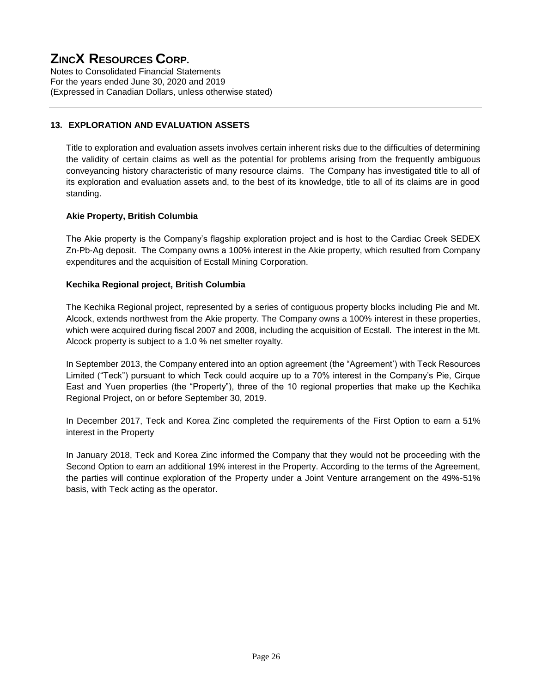Notes to Consolidated Financial Statements For the years ended June 30, 2020 and 2019 (Expressed in Canadian Dollars, unless otherwise stated)

#### **13. EXPLORATION AND EVALUATION ASSETS**

Title to exploration and evaluation assets involves certain inherent risks due to the difficulties of determining the validity of certain claims as well as the potential for problems arising from the frequently ambiguous conveyancing history characteristic of many resource claims. The Company has investigated title to all of its exploration and evaluation assets and, to the best of its knowledge, title to all of its claims are in good standing.

#### **Akie Property, British Columbia**

The Akie property is the Company's flagship exploration project and is host to the Cardiac Creek SEDEX Zn-Pb-Ag deposit. The Company owns a 100% interest in the Akie property, which resulted from Company expenditures and the acquisition of Ecstall Mining Corporation.

#### **Kechika Regional project, British Columbia**

The Kechika Regional project, represented by a series of contiguous property blocks including Pie and Mt. Alcock, extends northwest from the Akie property. The Company owns a 100% interest in these properties, which were acquired during fiscal 2007 and 2008, including the acquisition of Ecstall. The interest in the Mt. Alcock property is subject to a 1.0 % net smelter royalty.

In September 2013, the Company entered into an option agreement (the "Agreement') with Teck Resources Limited ("Teck") pursuant to which Teck could acquire up to a 70% interest in the Company's Pie, Cirque East and Yuen properties (the "Property"), three of the 10 regional properties that make up the Kechika Regional Project, on or before September 30, 2019.

In December 2017, Teck and Korea Zinc completed the requirements of the First Option to earn a 51% interest in the Property

In January 2018, Teck and Korea Zinc informed the Company that they would not be proceeding with the Second Option to earn an additional 19% interest in the Property. According to the terms of the Agreement, the parties will continue exploration of the Property under a Joint Venture arrangement on the 49%-51% basis, with Teck acting as the operator.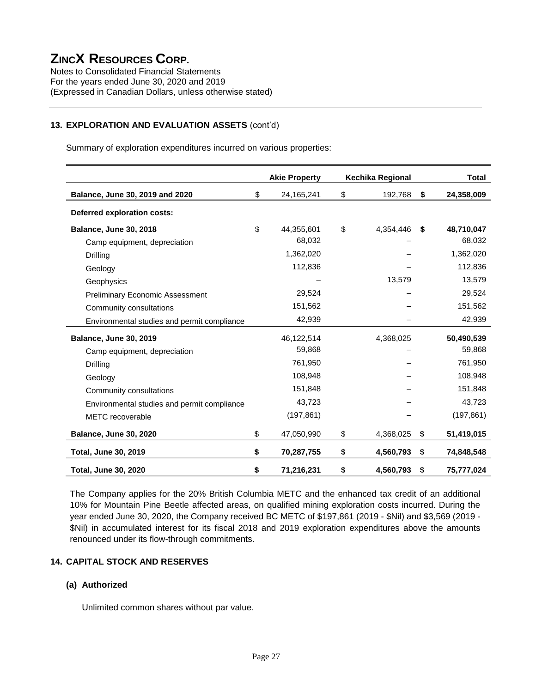Notes to Consolidated Financial Statements For the years ended June 30, 2020 and 2019 (Expressed in Canadian Dollars, unless otherwise stated)

#### **13. EXPLORATION AND EVALUATION ASSETS** (cont'd)

Summary of exploration expenditures incurred on various properties:

|                                             | <b>Akie Property</b> | Kechika Regional |                    | <b>Total</b> |
|---------------------------------------------|----------------------|------------------|--------------------|--------------|
| Balance, June 30, 2019 and 2020             | \$<br>24,165,241     | \$<br>192,768    | \$                 | 24,358,009   |
| Deferred exploration costs:                 |                      |                  |                    |              |
| <b>Balance, June 30, 2018</b>               | \$<br>44,355,601     | \$<br>4,354,446  | Ŝ.                 | 48,710,047   |
| Camp equipment, depreciation                | 68,032               |                  |                    | 68,032       |
| Drilling                                    | 1,362,020            |                  |                    | 1,362,020    |
| Geology                                     | 112,836              |                  |                    | 112,836      |
| Geophysics                                  |                      | 13,579           |                    | 13,579       |
| <b>Preliminary Economic Assessment</b>      | 29,524               |                  |                    | 29,524       |
| Community consultations                     | 151,562              |                  |                    | 151,562      |
| Environmental studies and permit compliance | 42,939               |                  |                    | 42,939       |
| <b>Balance, June 30, 2019</b>               | 46,122,514           | 4,368,025        |                    | 50,490,539   |
| Camp equipment, depreciation                | 59,868               |                  |                    | 59,868       |
| Drilling                                    | 761,950              |                  |                    | 761,950      |
| Geology                                     | 108,948              |                  |                    | 108,948      |
| Community consultations                     | 151,848              |                  |                    | 151,848      |
| Environmental studies and permit compliance | 43,723               |                  |                    | 43,723       |
| <b>METC</b> recoverable                     | (197, 861)           |                  |                    | (197, 861)   |
| <b>Balance, June 30, 2020</b>               | \$<br>47,050,990     | \$<br>4,368,025  | $\mathbf{\hat{S}}$ | 51,419,015   |
| <b>Total, June 30, 2019</b>                 | \$<br>70,287,755     | \$<br>4,560,793  | \$                 | 74,848,548   |
| <b>Total, June 30, 2020</b>                 | \$<br>71,216,231     | \$<br>4,560,793  | \$                 | 75,777,024   |

The Company applies for the 20% British Columbia METC and the enhanced tax credit of an additional 10% for Mountain Pine Beetle affected areas, on qualified mining exploration costs incurred. During the year ended June 30, 2020, the Company received BC METC of \$197,861 (2019 - \$Nil) and \$3,569 (2019 - \$Nil) in accumulated interest for its fiscal 2018 and 2019 exploration expenditures above the amounts renounced under its flow-through commitments.

#### **14. CAPITAL STOCK AND RESERVES**

#### **(a) Authorized**

Unlimited common shares without par value.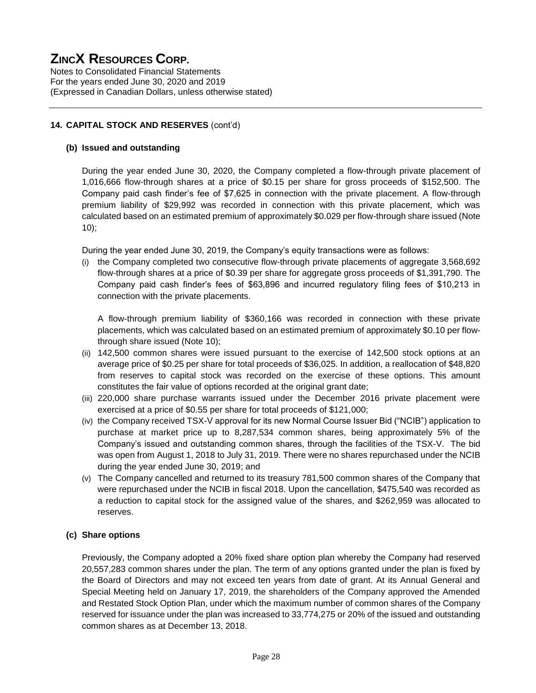Notes to Consolidated Financial Statements For the years ended June 30, 2020 and 2019 (Expressed in Canadian Dollars, unless otherwise stated)

#### **14. CAPITAL STOCK AND RESERVES** (cont'd)

#### **(b) Issued and outstanding**

During the year ended June 30, 2020, the Company completed a flow-through private placement of 1,016,666 flow-through shares at a price of \$0.15 per share for gross proceeds of \$152,500. The Company paid cash finder's fee of \$7,625 in connection with the private placement. A flow-through premium liability of \$29,992 was recorded in connection with this private placement, which was calculated based on an estimated premium of approximately \$0.029 per flow-through share issued (Note 10);

During the year ended June 30, 2019, the Company's equity transactions were as follows:

(i) the Company completed two consecutive flow-through private placements of aggregate 3,568,692 flow-through shares at a price of \$0.39 per share for aggregate gross proceeds of \$1,391,790. The Company paid cash finder's fees of \$63,896 and incurred regulatory filing fees of \$10,213 in connection with the private placements.

A flow-through premium liability of \$360,166 was recorded in connection with these private placements, which was calculated based on an estimated premium of approximately \$0.10 per flowthrough share issued (Note 10);

- (ii) 142,500 common shares were issued pursuant to the exercise of 142,500 stock options at an average price of \$0.25 per share for total proceeds of \$36,025. In addition, a reallocation of \$48,820 from reserves to capital stock was recorded on the exercise of these options. This amount constitutes the fair value of options recorded at the original grant date;
- (iii) 220,000 share purchase warrants issued under the December 2016 private placement were exercised at a price of \$0.55 per share for total proceeds of \$121,000;
- (iv) the Company received TSX-V approval for its new Normal Course Issuer Bid ("NCIB") application to purchase at market price up to 8,287,534 common shares, being approximately 5% of the Company's issued and outstanding common shares, through the facilities of the TSX-V. The bid was open from August 1, 2018 to July 31, 2019. There were no shares repurchased under the NCIB during the year ended June 30, 2019; and
- (v) The Company cancelled and returned to its treasury 781,500 common shares of the Company that were repurchased under the NCIB in fiscal 2018. Upon the cancellation, \$475,540 was recorded as a reduction to capital stock for the assigned value of the shares, and \$262,959 was allocated to reserves.

#### **(c) Share options**

Previously, the Company adopted a 20% fixed share option plan whereby the Company had reserved 20,557,283 common shares under the plan. The term of any options granted under the plan is fixed by the Board of Directors and may not exceed ten years from date of grant. At its Annual General and Special Meeting held on January 17, 2019, the shareholders of the Company approved the Amended and Restated Stock Option Plan, under which the maximum number of common shares of the Company reserved for issuance under the plan was increased to 33,774,275 or 20% of the issued and outstanding common shares as at December 13, 2018.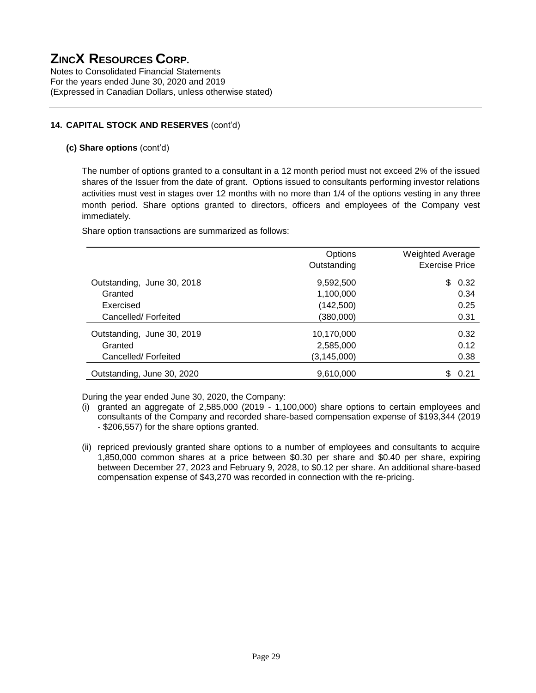Notes to Consolidated Financial Statements For the years ended June 30, 2020 and 2019 (Expressed in Canadian Dollars, unless otherwise stated)

#### **14. CAPITAL STOCK AND RESERVES** (cont'd)

#### **(c) Share options** (cont'd)

The number of options granted to a consultant in a 12 month period must not exceed 2% of the issued shares of the Issuer from the date of grant. Options issued to consultants performing investor relations activities must vest in stages over 12 months with no more than 1/4 of the options vesting in any three month period. Share options granted to directors, officers and employees of the Company vest immediately.

Share option transactions are summarized as follows:

|                            | Options<br>Outstanding | <b>Weighted Average</b><br><b>Exercise Price</b> |
|----------------------------|------------------------|--------------------------------------------------|
| Outstanding, June 30, 2018 | 9,592,500              | 0.32<br>\$                                       |
| Granted                    | 1,100,000              | 0.34                                             |
| Exercised                  | (142, 500)             | 0.25                                             |
| Cancelled/Forfeited        | (380,000)              | 0.31                                             |
| Outstanding, June 30, 2019 | 10,170,000             | 0.32                                             |
| Granted                    | 2,585,000              | 0.12                                             |
| Cancelled/Forfeited        | (3, 145, 000)          | 0.38                                             |
| Outstanding, June 30, 2020 | 9,610,000              | \$<br>0.21                                       |

During the year ended June 30, 2020, the Company:

- (i) granted an aggregate of 2,585,000 (2019 1,100,000) share options to certain employees and consultants of the Company and recorded share-based compensation expense of \$193,344 (2019 - \$206,557) for the share options granted.
- (ii) repriced previously granted share options to a number of employees and consultants to acquire 1,850,000 common shares at a price between \$0.30 per share and \$0.40 per share, expiring between December 27, 2023 and February 9, 2028, to \$0.12 per share. An additional share-based compensation expense of \$43,270 was recorded in connection with the re-pricing.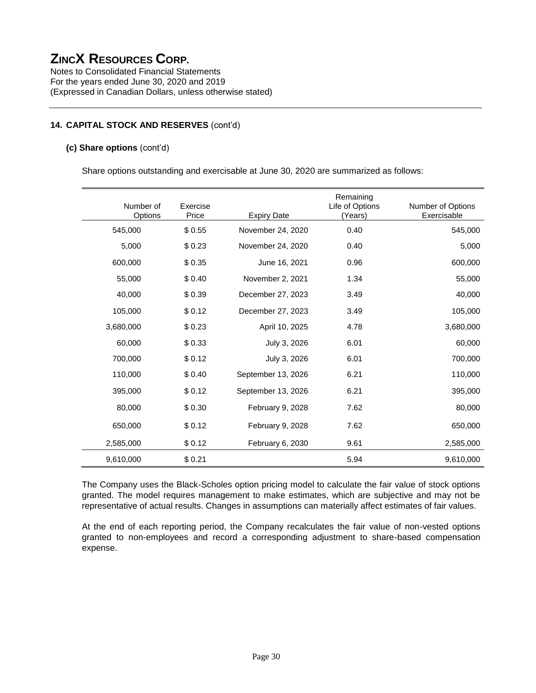Notes to Consolidated Financial Statements For the years ended June 30, 2020 and 2019 (Expressed in Canadian Dollars, unless otherwise stated)

#### **14. CAPITAL STOCK AND RESERVES** (cont'd)

#### **(c) Share options** (cont'd)

Share options outstanding and exercisable at June 30, 2020 are summarized as follows:

| Number of<br>Options | Exercise<br>Price | <b>Expiry Date</b> | Remaining<br>Life of Options<br>(Years) | Number of Options<br>Exercisable |
|----------------------|-------------------|--------------------|-----------------------------------------|----------------------------------|
| 545,000              | \$0.55            | November 24, 2020  | 0.40                                    | 545,000                          |
| 5,000                | \$0.23            | November 24, 2020  | 0.40                                    | 5,000                            |
| 600,000              | \$0.35            | June 16, 2021      | 0.96                                    | 600,000                          |
| 55,000               | \$0.40            | November 2, 2021   | 1.34                                    | 55,000                           |
| 40,000               | \$0.39            | December 27, 2023  | 3.49                                    | 40,000                           |
| 105,000              | \$0.12            | December 27, 2023  | 3.49                                    | 105,000                          |
| 3,680,000            | \$0.23            | April 10, 2025     | 4.78                                    | 3,680,000                        |
| 60,000               | \$0.33            | July 3, 2026       | 6.01                                    | 60,000                           |
| 700,000              | \$0.12            | July 3, 2026       | 6.01                                    | 700,000                          |
| 110,000              | \$0.40            | September 13, 2026 | 6.21                                    | 110,000                          |
| 395,000              | \$0.12            | September 13, 2026 | 6.21                                    | 395,000                          |
| 80,000               | \$0.30            | February 9, 2028   | 7.62                                    | 80,000                           |
| 650,000              | \$0.12            | February 9, 2028   | 7.62                                    | 650,000                          |
| 2,585,000            | \$0.12            | February 6, 2030   | 9.61                                    | 2,585,000                        |
| 9,610,000            | \$0.21            |                    | 5.94                                    | 9,610,000                        |

The Company uses the Black-Scholes option pricing model to calculate the fair value of stock options granted. The model requires management to make estimates, which are subjective and may not be representative of actual results. Changes in assumptions can materially affect estimates of fair values.

At the end of each reporting period, the Company recalculates the fair value of non-vested options granted to non-employees and record a corresponding adjustment to share-based compensation expense.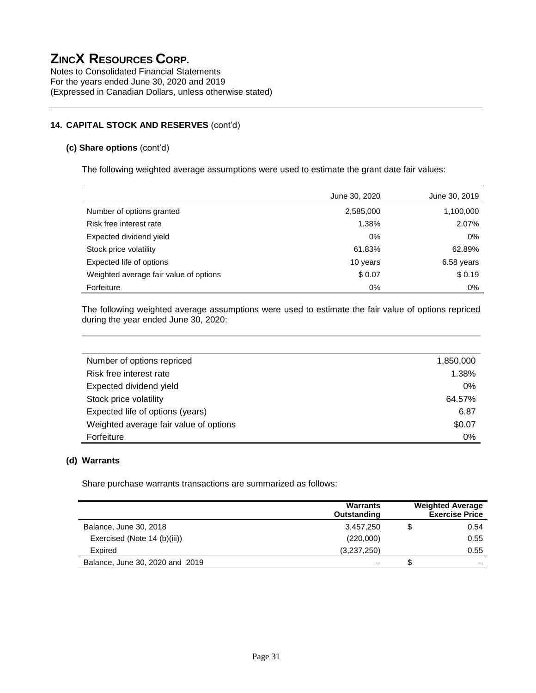Notes to Consolidated Financial Statements For the years ended June 30, 2020 and 2019 (Expressed in Canadian Dollars, unless otherwise stated)

#### **14. CAPITAL STOCK AND RESERVES** (cont'd)

#### **(c) Share options** (cont'd)

The following weighted average assumptions were used to estimate the grant date fair values:

|                                        | June 30, 2020 | June 30, 2019 |
|----------------------------------------|---------------|---------------|
| Number of options granted              | 2,585,000     | 1,100,000     |
| Risk free interest rate                | 1.38%         | 2.07%         |
| Expected dividend yield                | 0%            | 0%            |
| Stock price volatility                 | 61.83%        | 62.89%        |
| Expected life of options               | 10 years      | 6.58 years    |
| Weighted average fair value of options | \$0.07        | \$0.19        |
| Forfeiture                             | $0\%$         | 0%            |

The following weighted average assumptions were used to estimate the fair value of options repriced during the year ended June 30, 2020:

| Number of options repriced             | 1,850,000 |
|----------------------------------------|-----------|
| Risk free interest rate                | 1.38%     |
| Expected dividend yield                | 0%        |
| Stock price volatility                 | 64.57%    |
| Expected life of options (years)       | 6.87      |
| Weighted average fair value of options | \$0.07    |
| Forfeiture                             | 0%        |

#### **(d) Warrants**

Share purchase warrants transactions are summarized as follows:

|                                 | <b>Warrants</b><br>Outstanding | <b>Weighted Average</b><br><b>Exercise Price</b> |
|---------------------------------|--------------------------------|--------------------------------------------------|
| Balance, June 30, 2018          | 3,457,250                      | 0.54                                             |
| Exercised (Note 14 (b)(iii))    | (220,000)                      | 0.55                                             |
| Expired                         | (3,237,250)                    | 0.55                                             |
| Balance, June 30, 2020 and 2019 |                                |                                                  |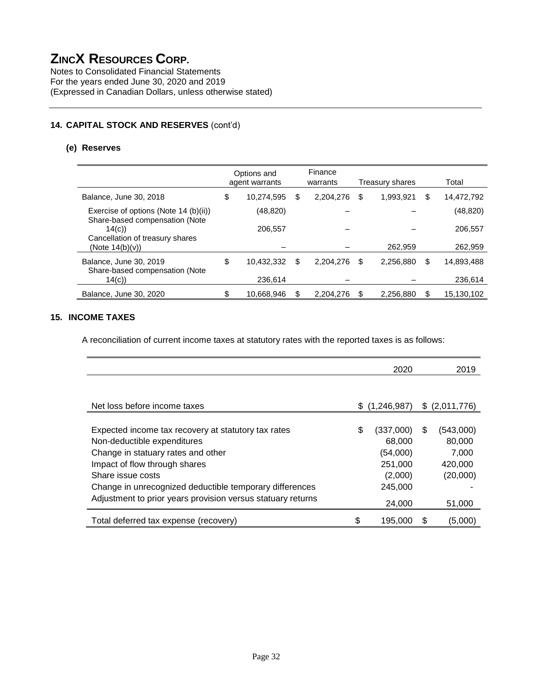Notes to Consolidated Financial Statements For the years ended June 30, 2020 and 2019 (Expressed in Canadian Dollars, unless otherwise stated)

#### **14. CAPITAL STOCK AND RESERVES** (cont'd)

#### **(e) Reserves**

|                                                                            | Options and<br>agent warrants |            |    | Finance<br>warrants | Treasury shares |           |    | Total      |  |  |
|----------------------------------------------------------------------------|-------------------------------|------------|----|---------------------|-----------------|-----------|----|------------|--|--|
| Balance, June 30, 2018                                                     | \$                            | 10,274,595 | \$ | 2,204,276           | \$              | 1,993,921 | \$ | 14,472,792 |  |  |
| Exercise of options (Note 14 (b)(ii))                                      |                               | (48, 820)  |    |                     |                 |           |    | (48, 820)  |  |  |
| Share-based compensation (Note<br>14(c)<br>Cancellation of treasury shares |                               | 206,557    |    |                     |                 |           |    | 206,557    |  |  |
| (Note $14(b)(v)$ )                                                         |                               |            |    |                     |                 | 262,959   |    | 262,959    |  |  |
| Balance, June 30, 2019<br>Share-based compensation (Note                   | \$                            | 10,432,332 | \$ | 2,204,276           | \$              | 2,256,880 | \$ | 14,893,488 |  |  |
| 14(c)                                                                      |                               | 236,614    |    |                     |                 |           |    | 236,614    |  |  |
| Balance, June 30, 2020                                                     | \$                            | 10,668,946 | \$ | 2,204,276           | \$              | 2,256,880 | S  | 15,130,102 |  |  |

#### **15. INCOME TAXES**

A reconciliation of current income taxes at statutory rates with the reported taxes is as follows:

|                                                             |    | 2020        |   | 2019          |
|-------------------------------------------------------------|----|-------------|---|---------------|
|                                                             |    |             |   |               |
| Net loss before income taxes                                | S. | (1,246,987) |   | \$(2,011,776) |
|                                                             |    |             |   |               |
| Expected income tax recovery at statutory tax rates         | \$ | (337,000)   | S | (543,000)     |
| Non-deductible expenditures                                 |    | 68,000      |   | 80,000        |
| Change in statuary rates and other                          |    | (54,000)    |   | 7,000         |
| Impact of flow through shares                               |    | 251,000     |   | 420,000       |
| Share issue costs                                           |    | (2,000)     |   | (20,000)      |
| Change in unrecognized deductible temporary differences     |    | 245,000     |   |               |
| Adjustment to prior years provision versus statuary returns |    | 24,000      |   | 51,000        |
| Total deferred tax expense (recovery)                       | \$ | 195.000     | S | (5,000)       |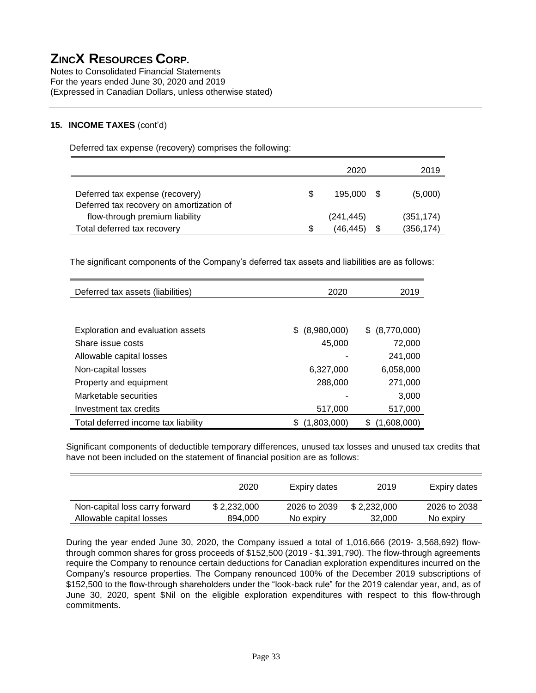Notes to Consolidated Financial Statements For the years ended June 30, 2020 and 2019 (Expressed in Canadian Dollars, unless otherwise stated)

#### **15. INCOME TAXES** (cont'd)

Deferred tax expense (recovery) comprises the following:

|                                                                            |     | 2020       | 2019       |
|----------------------------------------------------------------------------|-----|------------|------------|
| Deferred tax expense (recovery)                                            | \$. | 195,000 \$ | (5,000)    |
| Deferred tax recovery on amortization of<br>flow-through premium liability |     | (241, 445) | (351, 174) |
| Total deferred tax recovery                                                | S   | (46.445)   | (356, 174) |

The significant components of the Company's deferred tax assets and liabilities are as follows:

| Deferred tax assets (liabilities)   | 2020               | 2019              |
|-------------------------------------|--------------------|-------------------|
|                                     |                    |                   |
| Exploration and evaluation assets   | (8,980,000)<br>\$. | (8,770,000)<br>S. |
| Share issue costs                   | 45,000             | 72,000            |
| Allowable capital losses            |                    | 241,000           |
| Non-capital losses                  | 6.327,000          | 6,058,000         |
| Property and equipment              | 288,000            | 271,000           |
| Marketable securities               |                    | 3,000             |
| Investment tax credits              | 517,000            | 517,000           |
| Total deferred income tax liability | (1,803,000)        | (1,608,000)<br>\$ |

Significant components of deductible temporary differences, unused tax losses and unused tax credits that have not been included on the statement of financial position are as follows:

|                                | 2020        | Expiry dates | 2019        | Expiry dates |
|--------------------------------|-------------|--------------|-------------|--------------|
| Non-capital loss carry forward | \$2.232.000 | 2026 to 2039 | \$2.232.000 | 2026 to 2038 |
| Allowable capital losses       | 894.000     | No expiry    | 32,000      | No expiry    |

During the year ended June 30, 2020, the Company issued a total of 1,016,666 (2019- 3,568,692) flowthrough common shares for gross proceeds of \$152,500 (2019 - \$1,391,790). The flow-through agreements require the Company to renounce certain deductions for Canadian exploration expenditures incurred on the Company's resource properties. The Company renounced 100% of the December 2019 subscriptions of \$152,500 to the flow-through shareholders under the "look-back rule" for the 2019 calendar year, and, as of June 30, 2020, spent \$Nil on the eligible exploration expenditures with respect to this flow-through commitments.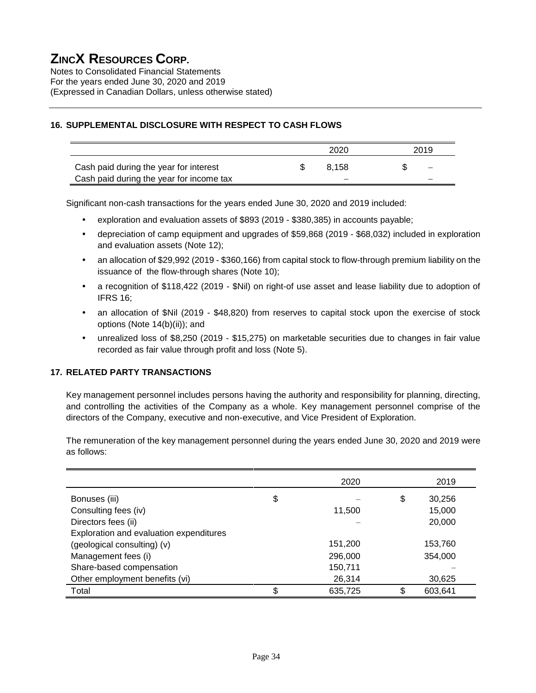Notes to Consolidated Financial Statements For the years ended June 30, 2020 and 2019 (Expressed in Canadian Dollars, unless otherwise stated)

#### **16. SUPPLEMENTAL DISCLOSURE WITH RESPECT TO CASH FLOWS**

|                                          | 2020  | 2019              |  |
|------------------------------------------|-------|-------------------|--|
| Cash paid during the year for interest   | 8.158 | $\qquad \qquad -$ |  |
| Cash paid during the year for income tax |       |                   |  |

Significant non-cash transactions for the years ended June 30, 2020 and 2019 included:

- exploration and evaluation assets of \$893 (2019 \$380,385) in accounts payable;
- depreciation of camp equipment and upgrades of \$59,868 (2019 \$68,032) included in exploration and evaluation assets (Note 12);
- an allocation of \$29,992 (2019 \$360,166) from capital stock to flow-through premium liability on the issuance of the flow-through shares (Note 10);
- a recognition of \$118,422 (2019 \$Nil) on right-of use asset and lease liability due to adoption of IFRS 16;
- an allocation of \$Nil (2019 \$48,820) from reserves to capital stock upon the exercise of stock options (Note 14(b)(ii)); and
- unrealized loss of \$8,250 (2019 \$15,275) on marketable securities due to changes in fair value recorded as fair value through profit and loss (Note 5).

#### **17. RELATED PARTY TRANSACTIONS**

Key management personnel includes persons having the authority and responsibility for planning, directing, and controlling the activities of the Company as a whole. Key management personnel comprise of the directors of the Company, executive and non-executive, and Vice President of Exploration.

The remuneration of the key management personnel during the years ended June 30, 2020 and 2019 were as follows:

|                                         | 2020          |    | 2019    |
|-----------------------------------------|---------------|----|---------|
| Bonuses (iii)                           | \$            | \$ | 30,256  |
| Consulting fees (iv)                    | 11,500        |    | 15,000  |
| Directors fees (ii)                     |               |    | 20,000  |
| Exploration and evaluation expenditures |               |    |         |
| (geological consulting) (v)             | 151,200       |    | 153,760 |
| Management fees (i)                     | 296,000       |    | 354,000 |
| Share-based compensation                | 150,711       |    |         |
| Other employment benefits (vi)          | 26,314        |    | 30,625  |
| Total                                   | \$<br>635,725 | c  | 603,641 |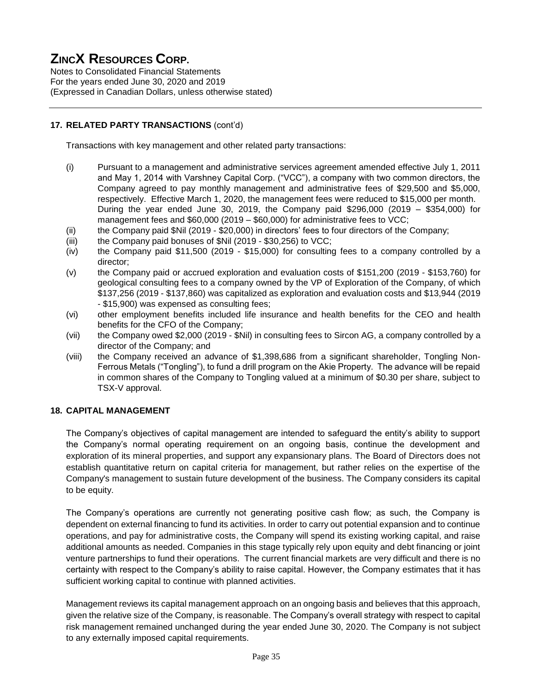Notes to Consolidated Financial Statements For the years ended June 30, 2020 and 2019 (Expressed in Canadian Dollars, unless otherwise stated)

#### **17. RELATED PARTY TRANSACTIONS** (cont'd)

Transactions with key management and other related party transactions:

- (i) Pursuant to a management and administrative services agreement amended effective July 1, 2011 and May 1, 2014 with Varshney Capital Corp. ("VCC"), a company with two common directors, the Company agreed to pay monthly management and administrative fees of \$29,500 and \$5,000, respectively. Effective March 1, 2020, the management fees were reduced to \$15,000 per month. During the year ended June 30, 2019, the Company paid \$296,000 (2019 – \$354,000) for management fees and \$60,000 (2019 – \$60,000) for administrative fees to VCC;
- (ii) the Company paid \$Nil (2019 \$20,000) in directors' fees to four directors of the Company;
- (iii) the Company paid bonuses of \$Nil (2019 \$30,256) to VCC;
- (iv) the Company paid \$11,500 (2019 \$15,000) for consulting fees to a company controlled by a director;
- (v) the Company paid or accrued exploration and evaluation costs of \$151,200 (2019 \$153,760) for geological consulting fees to a company owned by the VP of Exploration of the Company, of which \$137,256 (2019 - \$137,860) was capitalized as exploration and evaluation costs and \$13,944 (2019 - \$15,900) was expensed as consulting fees;
- (vi) other employment benefits included life insurance and health benefits for the CEO and health benefits for the CFO of the Company;
- (vii) the Company owed \$2,000 (2019 \$Nil) in consulting fees to Sircon AG, a company controlled by a director of the Company; and
- (viii) the Company received an advance of \$1,398,686 from a significant shareholder, Tongling Non-Ferrous Metals ("Tongling"), to fund a drill program on the Akie Property. The advance will be repaid in common shares of the Company to Tongling valued at a minimum of \$0.30 per share, subject to TSX-V approval.

#### **18. CAPITAL MANAGEMENT**

The Company's objectives of capital management are intended to safeguard the entity's ability to support the Company's normal operating requirement on an ongoing basis, continue the development and exploration of its mineral properties, and support any expansionary plans. The Board of Directors does not establish quantitative return on capital criteria for management, but rather relies on the expertise of the Company's management to sustain future development of the business. The Company considers its capital to be equity.

The Company's operations are currently not generating positive cash flow; as such, the Company is dependent on external financing to fund its activities. In order to carry out potential expansion and to continue operations, and pay for administrative costs, the Company will spend its existing working capital, and raise additional amounts as needed. Companies in this stage typically rely upon equity and debt financing or joint venture partnerships to fund their operations. The current financial markets are very difficult and there is no certainty with respect to the Company's ability to raise capital. However, the Company estimates that it has sufficient working capital to continue with planned activities.

Management reviews its capital management approach on an ongoing basis and believes that this approach, given the relative size of the Company, is reasonable. The Company's overall strategy with respect to capital risk management remained unchanged during the year ended June 30, 2020. The Company is not subject to any externally imposed capital requirements.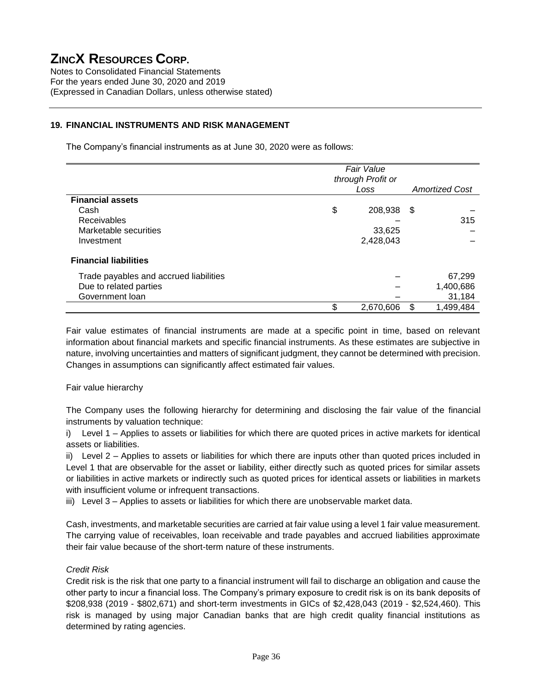Notes to Consolidated Financial Statements For the years ended June 30, 2020 and 2019 (Expressed in Canadian Dollars, unless otherwise stated)

#### **19. FINANCIAL INSTRUMENTS AND RISK MANAGEMENT**

The Company's financial instruments as at June 30, 2020 were as follows:

|                                        | <b>Fair Value</b><br>through Profit or |           |                       |           |
|----------------------------------------|----------------------------------------|-----------|-----------------------|-----------|
|                                        |                                        |           |                       |           |
|                                        | Loss                                   |           | <b>Amortized Cost</b> |           |
| <b>Financial assets</b>                |                                        |           |                       |           |
| Cash                                   | \$                                     | 208,938   | - \$                  |           |
| <b>Receivables</b>                     |                                        |           |                       | 315       |
| Marketable securities                  |                                        | 33,625    |                       |           |
| Investment                             |                                        | 2,428,043 |                       |           |
| <b>Financial liabilities</b>           |                                        |           |                       |           |
| Trade payables and accrued liabilities |                                        |           |                       | 67,299    |
| Due to related parties                 |                                        |           |                       | 1,400,686 |
| Government loan                        |                                        |           |                       | 31,184    |
|                                        | \$                                     | 2,670,606 | \$.                   | 1,499,484 |

Fair value estimates of financial instruments are made at a specific point in time, based on relevant information about financial markets and specific financial instruments. As these estimates are subjective in nature, involving uncertainties and matters of significant judgment, they cannot be determined with precision. Changes in assumptions can significantly affect estimated fair values.

#### Fair value hierarchy

The Company uses the following hierarchy for determining and disclosing the fair value of the financial instruments by valuation technique:

i) Level 1 – Applies to assets or liabilities for which there are quoted prices in active markets for identical assets or liabilities.

ii) Level 2 – Applies to assets or liabilities for which there are inputs other than quoted prices included in Level 1 that are observable for the asset or liability, either directly such as quoted prices for similar assets or liabilities in active markets or indirectly such as quoted prices for identical assets or liabilities in markets with insufficient volume or infrequent transactions.

iii) Level 3 – Applies to assets or liabilities for which there are unobservable market data.

Cash, investments, and marketable securities are carried at fair value using a level 1 fair value measurement. The carrying value of receivables, loan receivable and trade payables and accrued liabilities approximate their fair value because of the short-term nature of these instruments.

#### *Credit Risk*

Credit risk is the risk that one party to a financial instrument will fail to discharge an obligation and cause the other party to incur a financial loss. The Company's primary exposure to credit risk is on its bank deposits of \$208,938 (2019 - \$802,671) and short-term investments in GICs of \$2,428,043 (2019 - \$2,524,460). This risk is managed by using major Canadian banks that are high credit quality financial institutions as determined by rating agencies.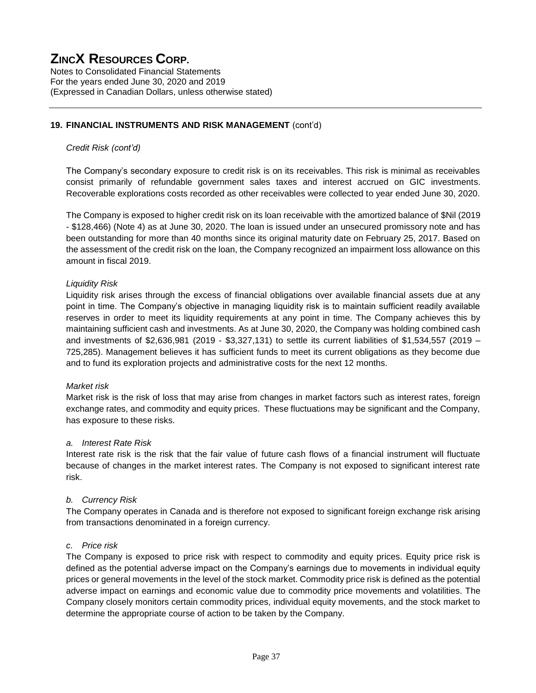Notes to Consolidated Financial Statements For the years ended June 30, 2020 and 2019 (Expressed in Canadian Dollars, unless otherwise stated)

#### **19. FINANCIAL INSTRUMENTS AND RISK MANAGEMENT** (cont'd)

#### *Credit Risk (cont'd)*

The Company's secondary exposure to credit risk is on its receivables. This risk is minimal as receivables consist primarily of refundable government sales taxes and interest accrued on GIC investments. Recoverable explorations costs recorded as other receivables were collected to year ended June 30, 2020.

The Company is exposed to higher credit risk on its loan receivable with the amortized balance of \$Nil (2019 - \$128,466) (Note 4) as at June 30, 2020. The loan is issued under an unsecured promissory note and has been outstanding for more than 40 months since its original maturity date on February 25, 2017. Based on the assessment of the credit risk on the loan, the Company recognized an impairment loss allowance on this amount in fiscal 2019.

#### *Liquidity Risk*

Liquidity risk arises through the excess of financial obligations over available financial assets due at any point in time. The Company's objective in managing liquidity risk is to maintain sufficient readily available reserves in order to meet its liquidity requirements at any point in time. The Company achieves this by maintaining sufficient cash and investments. As at June 30, 2020, the Company was holding combined cash and investments of \$2,636,981 (2019 - \$3,327,131) to settle its current liabilities of \$1,534,557 (2019 – 725,285). Management believes it has sufficient funds to meet its current obligations as they become due and to fund its exploration projects and administrative costs for the next 12 months.

#### *Market risk*

Market risk is the risk of loss that may arise from changes in market factors such as interest rates, foreign exchange rates, and commodity and equity prices. These fluctuations may be significant and the Company, has exposure to these risks.

#### *a. Interest Rate Risk*

Interest rate risk is the risk that the fair value of future cash flows of a financial instrument will fluctuate because of changes in the market interest rates. The Company is not exposed to significant interest rate risk.

#### *b. Currency Risk*

The Company operates in Canada and is therefore not exposed to significant foreign exchange risk arising from transactions denominated in a foreign currency.

#### *c. Price risk*

The Company is exposed to price risk with respect to commodity and equity prices. Equity price risk is defined as the potential adverse impact on the Company's earnings due to movements in individual equity prices or general movements in the level of the stock market. Commodity price risk is defined as the potential adverse impact on earnings and economic value due to commodity price movements and volatilities. The Company closely monitors certain commodity prices, individual equity movements, and the stock market to determine the appropriate course of action to be taken by the Company.